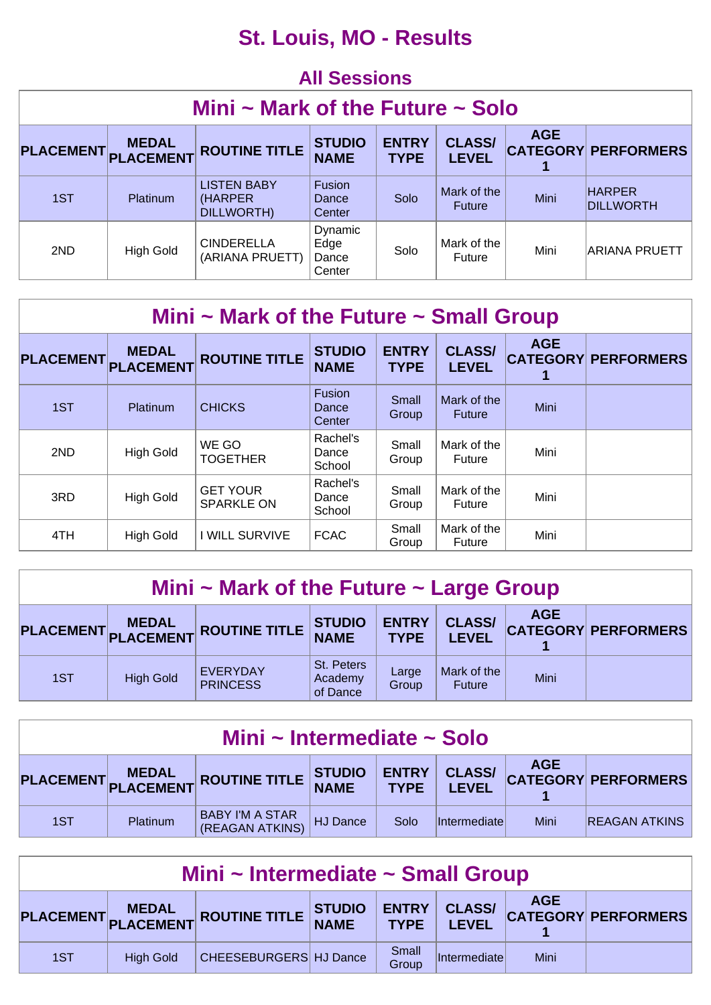# **St. Louis, MO - Results**

|                                  | <b>All Sessions</b>              |                                                    |                                    |                             |                               |            |                                   |  |  |  |  |
|----------------------------------|----------------------------------|----------------------------------------------------|------------------------------------|-----------------------------|-------------------------------|------------|-----------------------------------|--|--|--|--|
| Mini ~ Mark of the Future ~ Solo |                                  |                                                    |                                    |                             |                               |            |                                   |  |  |  |  |
| <b>PLACEMENT</b>                 | <b>MEDAL</b><br><b>PLACEMENT</b> | <b>ROUTINE TITLE</b>                               | <b>STUDIO</b><br><b>NAME</b>       | <b>ENTRY</b><br><b>TYPE</b> | <b>CLASS/</b><br><b>LEVEL</b> | <b>AGE</b> | <b>CATEGORY PERFORMERS</b>        |  |  |  |  |
| 1ST                              | Platinum                         | <b>LISTEN BABY</b><br>(HARPER<br><b>DILLWORTH)</b> | Fusion<br>Dance<br>Center          | Solo                        | Mark of the<br><b>Future</b>  | Mini       | <b>HARPER</b><br><b>DILLWORTH</b> |  |  |  |  |
| 2ND                              | <b>High Gold</b>                 | <b>CINDERELLA</b><br>(ARIANA PRUETT)               | Dynamic<br>Edge<br>Dance<br>Center | Solo                        | Mark of the<br>Future         | Mini       | ARIANA PRUETT                     |  |  |  |  |

| Mini $\sim$ Mark of the Future $\sim$ Small Group |                                     |                                      |                              |                             |                               |            |                            |  |  |  |  |
|---------------------------------------------------|-------------------------------------|--------------------------------------|------------------------------|-----------------------------|-------------------------------|------------|----------------------------|--|--|--|--|
|                                                   | <b>MEDAL</b><br>PLACEMENT PLACEMENT | <b>ROUTINE TITLE</b>                 | <b>STUDIO</b><br><b>NAME</b> | <b>ENTRY</b><br><b>TYPE</b> | <b>CLASS/</b><br><b>LEVEL</b> | <b>AGE</b> | <b>CATEGORY PERFORMERS</b> |  |  |  |  |
| 1ST                                               | Platinum                            | <b>CHICKS</b>                        | Fusion<br>Dance<br>Center    | Small<br>Group              | Mark of the<br><b>Future</b>  | Mini       |                            |  |  |  |  |
| 2ND                                               | <b>High Gold</b>                    | WE GO<br><b>TOGETHER</b>             | Rachel's<br>Dance<br>School  | Small<br>Group              | Mark of the<br>Future         | Mini       |                            |  |  |  |  |
| 3RD                                               | <b>High Gold</b>                    | <b>GET YOUR</b><br><b>SPARKLE ON</b> | Rachel's<br>Dance<br>School  | Small<br>Group              | Mark of the<br>Future         | Mini       |                            |  |  |  |  |
| 4TH                                               | <b>High Gold</b>                    | <b>I WILL SURVIVE</b>                | <b>FCAC</b>                  | Small<br>Group              | Mark of the<br>Future         | Mini       |                            |  |  |  |  |

| Mini $\sim$ Mark of the Future $\sim$ Large Group |                  |                                    |                                   |                             |                               |            |                            |  |  |
|---------------------------------------------------|------------------|------------------------------------|-----------------------------------|-----------------------------|-------------------------------|------------|----------------------------|--|--|
|                                                   |                  | PLACEMENT MEDAL ROUTINE TITLE      | <b>STUDIO<br/>NAME</b>            | <b>ENTRY</b><br><b>TYPE</b> | <b>CLASS/</b><br><b>LEVEL</b> | <b>AGE</b> | <b>CATEGORY PERFORMERS</b> |  |  |
| 1ST                                               | <b>High Gold</b> | <b>EVERYDAY</b><br><b>PRINCESS</b> | St. Peters<br>Academy<br>of Dance | Large<br>Group              | Mark of the<br><b>Future</b>  | Mini       |                            |  |  |

| Mini ~ Intermediate ~ Solo                                                                                                               |          |                                           |          |      |                      |             |                      |  |  |
|------------------------------------------------------------------------------------------------------------------------------------------|----------|-------------------------------------------|----------|------|----------------------|-------------|----------------------|--|--|
| <b>AGE</b><br><b>ENTRY   CLASS/</b><br>PLACEMENT MEDAL ROUTINE TITLE STUDIO<br><b>CATEGORY PERFORMERS</b><br><b>TYPE</b><br><b>LEVEL</b> |          |                                           |          |      |                      |             |                      |  |  |
| 1ST                                                                                                                                      | Platinum | <b>BABY I'M A STAR</b><br>(REAGAN ATKINS) | HJ Dance | Solo | <i>Intermediatel</i> | <b>Mini</b> | <b>REAGAN ATKINS</b> |  |  |

| Mini ~ Intermediate ~ Small Group |                                                                                     |                        |  |                |              |      |  |  |  |  |
|-----------------------------------|-------------------------------------------------------------------------------------|------------------------|--|----------------|--------------|------|--|--|--|--|
|                                   | <b>AGE</b><br>PLACEMENT MEDAL ROUTINE TITLE STUDIO ENTRY CLASS/ CATEGORY PERFORMERS |                        |  |                |              |      |  |  |  |  |
| 1ST                               | <b>High Gold</b>                                                                    | CHEESEBURGERS HJ Dance |  | Small<br>Group | Intermediate | Mini |  |  |  |  |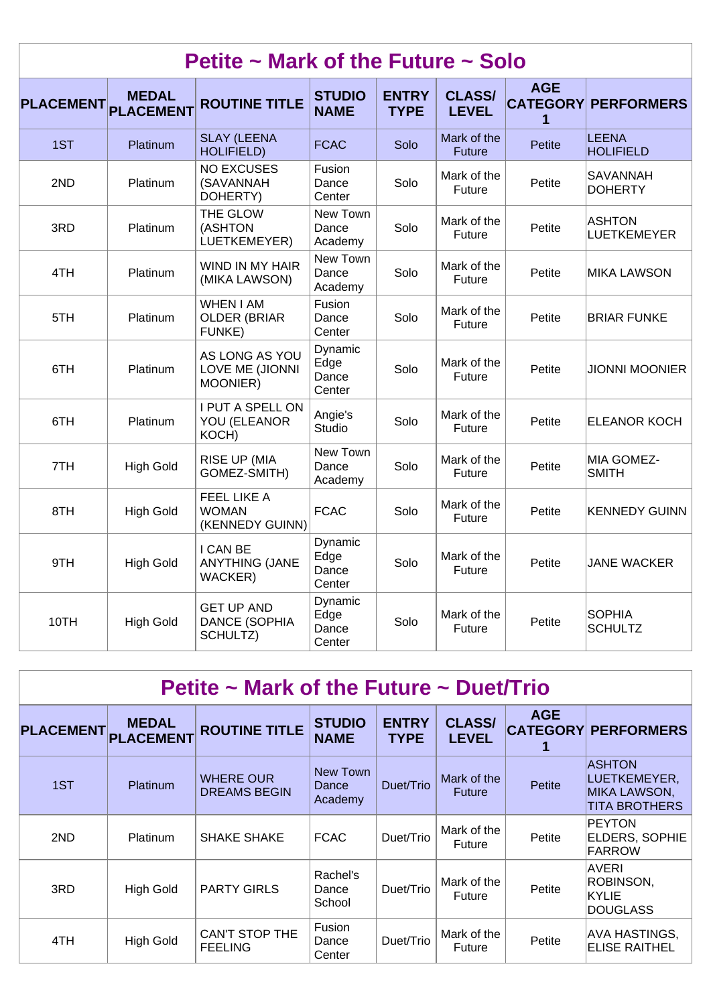| Petite $\sim$ Mark of the Future $\sim$ Solo |                                  |                                                   |                                    |                             |                               |                 |                                     |  |  |  |
|----------------------------------------------|----------------------------------|---------------------------------------------------|------------------------------------|-----------------------------|-------------------------------|-----------------|-------------------------------------|--|--|--|
| <b>PLACEMENT</b>                             | <b>MEDAL</b><br><b>PLACEMENT</b> | <b>ROUTINE TITLE</b>                              | <b>STUDIO</b><br><b>NAME</b>       | <b>ENTRY</b><br><b>TYPE</b> | <b>CLASS/</b><br><b>LEVEL</b> | <b>AGE</b><br>1 | <b>CATEGORY PERFORMERS</b>          |  |  |  |
| 1ST                                          | Platinum                         | <b>SLAY (LEENA</b><br><b>HOLIFIELD)</b>           | <b>FCAC</b>                        | Solo                        | Mark of the<br><b>Future</b>  | <b>Petite</b>   | LEENA<br><b>HOLIFIELD</b>           |  |  |  |
| 2ND                                          | Platinum                         | <b>NO EXCUSES</b><br>(SAVANNAH<br>DOHERTY)        | Fusion<br>Dance<br>Center          | Solo                        | Mark of the<br>Future         | Petite          | <b>SAVANNAH</b><br><b>DOHERTY</b>   |  |  |  |
| 3RD                                          | Platinum                         | THE GLOW<br>(ASHTON<br>LUETKEMEYER)               | New Town<br>Dance<br>Academy       | Solo                        | Mark of the<br>Future         | Petite          | <b>ASHTON</b><br><b>LUETKEMEYER</b> |  |  |  |
| 4TH                                          | Platinum                         | WIND IN MY HAIR<br>(MIKA LAWSON)                  | New Town<br>Dance<br>Academy       | Solo                        | Mark of the<br>Future         | Petite          | <b>MIKA LAWSON</b>                  |  |  |  |
| 5TH                                          | Platinum                         | <b>WHEN I AM</b><br><b>OLDER (BRIAR</b><br>FUNKE) | Fusion<br>Dance<br>Center          | Solo                        | Mark of the<br>Future         | Petite          | <b>BRIAR FUNKE</b>                  |  |  |  |
| 6TH                                          | Platinum                         | AS LONG AS YOU<br>LOVE ME (JIONNI<br>MOONIER)     | Dynamic<br>Edge<br>Dance<br>Center | Solo                        | Mark of the<br>Future         | Petite          | <b>JIONNI MOONIER</b>               |  |  |  |
| 6TH                                          | Platinum                         | I PUT A SPELL ON<br>YOU (ELEANOR<br>KOCH)         | Angie's<br>Studio                  | Solo                        | Mark of the<br>Future         | Petite          | <b>ELEANOR KOCH</b>                 |  |  |  |
| 7TH                                          | <b>High Gold</b>                 | <b>RISE UP (MIA</b><br>GOMEZ-SMITH)               | New Town<br>Dance<br>Academy       | Solo                        | Mark of the<br>Future         | Petite          | MIA GOMEZ-<br><b>SMITH</b>          |  |  |  |
| 8TH                                          | <b>High Gold</b>                 | FEEL LIKE A<br><b>WOMAN</b><br>(KENNEDY GUINN)    | <b>FCAC</b>                        | Solo                        | Mark of the<br>Future         | Petite          | <b>KENNEDY GUINN</b>                |  |  |  |
| 9TH                                          | <b>High Gold</b>                 | I CAN BE<br><b>ANYTHING (JANE</b><br>WACKER)      | Dynamic<br>Edge<br>Dance<br>Center | Solo                        | Mark of the<br>Future         | Petite          | <b>JANE WACKER</b>                  |  |  |  |
| 10TH                                         | <b>High Gold</b>                 | <b>GET UP AND</b><br>DANCE (SOPHIA<br>SCHULTZ)    | Dynamic<br>Edge<br>Dance<br>Center | Solo                        | Mark of the<br><b>Future</b>  | Petite          | <b>SOPHIA</b><br><b>SCHULTZ</b>     |  |  |  |

|                  | Petite ~ Mark of the Future ~ Duet/Trio                                                                                                                                                              |                                         |                              |           |                              |        |                                                                              |  |  |  |  |
|------------------|------------------------------------------------------------------------------------------------------------------------------------------------------------------------------------------------------|-----------------------------------------|------------------------------|-----------|------------------------------|--------|------------------------------------------------------------------------------|--|--|--|--|
| <b>PLACEMENT</b> | <b>AGE</b><br><b>CLASS/</b><br><b>ENTRY</b><br><b>MEDAL</b><br><b>STUDIO</b><br><b>ROUTINE TITLE</b><br><b>CATEGORY PERFORMERS</b><br><b>PLACEMENT</b><br><b>TYPE</b><br><b>LEVEL</b><br><b>NAME</b> |                                         |                              |           |                              |        |                                                                              |  |  |  |  |
| 1ST              | Platinum                                                                                                                                                                                             | <b>WHERE OUR</b><br><b>DREAMS BEGIN</b> | New Town<br>Dance<br>Academy | Duet/Trio | Mark of the<br><b>Future</b> | Petite | <b>ASHTON</b><br>LUETKEMEYER,<br><b>MIKA LAWSON,</b><br><b>TITA BROTHERS</b> |  |  |  |  |
| 2ND              | <b>Platinum</b>                                                                                                                                                                                      | <b>SHAKE SHAKE</b>                      | <b>FCAC</b>                  | Duet/Trio | Mark of the<br>Future        | Petite | <b>PEYTON</b><br><b>ELDERS, SOPHIE</b><br>FARROW                             |  |  |  |  |
| 3RD              | <b>High Gold</b>                                                                                                                                                                                     | <b>PARTY GIRLS</b>                      | Rachel's<br>Dance<br>School  | Duet/Trio | Mark of the<br>Future        | Petite | AVERI<br><b>ROBINSON,</b><br>KYLIE<br>DOUGLASS                               |  |  |  |  |
| 4TH              | <b>High Gold</b>                                                                                                                                                                                     | <b>CAN'T STOP THE</b><br><b>FEELING</b> | Fusion<br>Dance<br>Center    | Duet/Trio | Mark of the<br><b>Future</b> | Petite | AVA HASTINGS,<br><b>ELISE RAITHEL</b>                                        |  |  |  |  |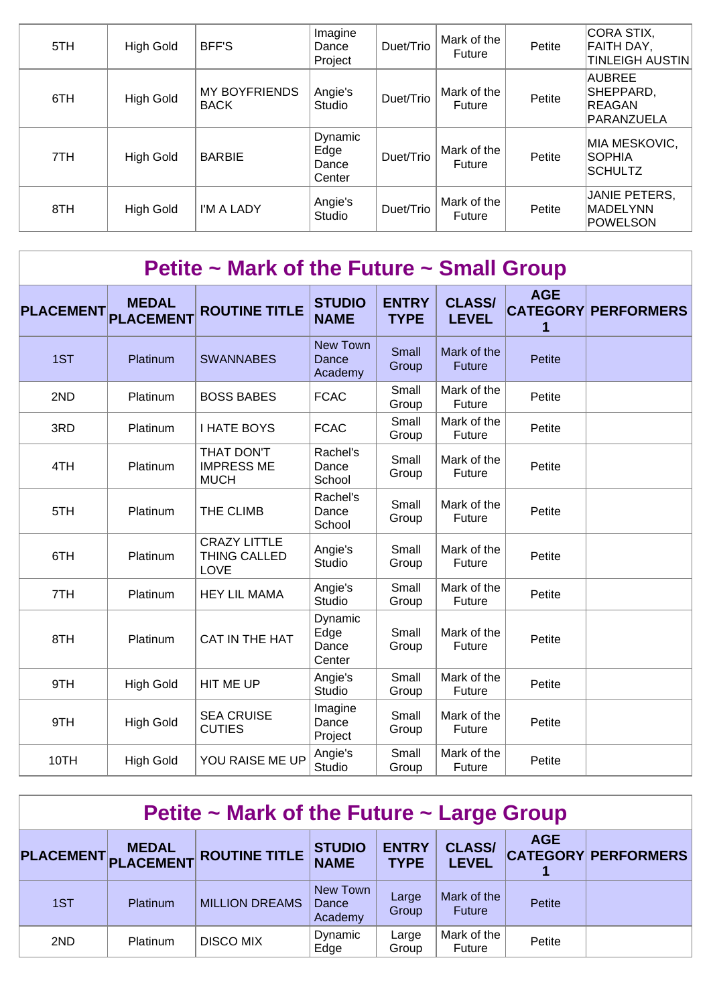| 5TH | <b>High Gold</b> | <b>BFF'S</b>                        | Imagine<br>Dance<br>Project        | Duet/Trio | Mark of the<br>Future | Petite | CORA STIX,<br>FAITH DAY,<br>TINLEIGH AUSTIN        |
|-----|------------------|-------------------------------------|------------------------------------|-----------|-----------------------|--------|----------------------------------------------------|
| 6TH | High Gold        | <b>MY BOYFRIENDS</b><br><b>BACK</b> | Angie's<br>Studio                  | Duet/Trio | Mark of the<br>Future | Petite | AUBREE<br>SHEPPARD,<br><b>REAGAN</b><br>PARANZUELA |
| 7TH | <b>High Gold</b> | <b>BARBIE</b>                       | Dynamic<br>Edge<br>Dance<br>Center | Duet/Trio | Mark of the<br>Future | Petite | MIA MESKOVIC,<br><b>SOPHIA</b><br><b>SCHULTZ</b>   |
| 8TH | <b>High Gold</b> | I'M A LADY                          | Angie's<br>Studio                  | Duet/Trio | Mark of the<br>Future | Petite | JANIE PETERS,<br>MADELYNN<br>POWELSON              |

### **Petite ~ Mark of the Future ~ Small Group**

| <b>PLACEMENT</b> | <b>MEDAL</b><br><b>PLACEMENT</b> | <b>ROUTINE TITLE</b>                           | <b>STUDIO</b><br><b>NAME</b>        | <b>ENTRY</b><br><b>TYPE</b> | <b>CLASS/</b><br><b>LEVEL</b> | <b>AGE</b><br>1 | <b>CATEGORY PERFORMERS</b> |
|------------------|----------------------------------|------------------------------------------------|-------------------------------------|-----------------------------|-------------------------------|-----------------|----------------------------|
| 1ST              | Platinum                         | <b>SWANNABES</b>                               | <b>New Town</b><br>Dance<br>Academy | Small<br>Group              | Mark of the<br><b>Future</b>  | <b>Petite</b>   |                            |
| 2ND              | Platinum                         | <b>BOSS BABES</b>                              | <b>FCAC</b>                         | Small<br>Group              | Mark of the<br>Future         | Petite          |                            |
| 3RD              | Platinum                         | <b>I HATE BOYS</b>                             | <b>FCAC</b>                         | Small<br>Group              | Mark of the<br>Future         | Petite          |                            |
| 4TH              | Platinum                         | THAT DON'T<br><b>IMPRESS ME</b><br><b>MUCH</b> | Rachel's<br>Dance<br>School         | Small<br>Group              | Mark of the<br>Future         | Petite          |                            |
| 5TH              | Platinum                         | THE CLIMB                                      | Rachel's<br>Dance<br>School         | Small<br>Group              | Mark of the<br>Future         | Petite          |                            |
| 6TH              | Platinum                         | <b>CRAZY LITTLE</b><br>THING CALLED<br>LOVE    | Angie's<br><b>Studio</b>            | Small<br>Group              | Mark of the<br>Future         | Petite          |                            |
| 7TH              | Platinum                         | <b>HEY LIL MAMA</b>                            | Angie's<br>Studio                   | Small<br>Group              | Mark of the<br>Future         | Petite          |                            |
| 8TH              | Platinum                         | CAT IN THE HAT                                 | Dynamic<br>Edge<br>Dance<br>Center  | Small<br>Group              | Mark of the<br>Future         | Petite          |                            |
| 9TH              | <b>High Gold</b>                 | HIT ME UP                                      | Angie's<br>Studio                   | Small<br>Group              | Mark of the<br>Future         | Petite          |                            |
| 9TH              | <b>High Gold</b>                 | <b>SEA CRUISE</b><br><b>CUTIES</b>             | Imagine<br>Dance<br>Project         | Small<br>Group              | Mark of the<br>Future         | Petite          |                            |
| 10TH             | <b>High Gold</b>                 | YOU RAISE ME UP                                | Angie's<br>Studio                   | Small<br>Group              | Mark of the<br>Future         | Petite          |                            |

| Petite $\sim$ Mark of the Future $\sim$ Large Group |                              |                       |                              |                             |                               |            |                            |  |  |  |  |
|-----------------------------------------------------|------------------------------|-----------------------|------------------------------|-----------------------------|-------------------------------|------------|----------------------------|--|--|--|--|
|                                                     | PLACEMENT MEDAL<br>PLACEMENT | <b>ROUTINE TITLE</b>  | <b>STUDIO</b><br><b>NAME</b> | <b>ENTRY</b><br><b>TYPE</b> | <b>CLASS/</b><br><b>LEVEL</b> | <b>AGE</b> | <b>CATEGORY PERFORMERS</b> |  |  |  |  |
| 1ST                                                 | <b>Platinum</b>              | <b>MILLION DREAMS</b> | New Town<br>Dance<br>Academy | Large<br>Group              | Mark of the<br><b>Future</b>  | Petite     |                            |  |  |  |  |
| 2ND                                                 | <b>Platinum</b>              | <b>DISCO MIX</b>      | Dynamic<br>Edge              | Large<br>Group              | Mark of the<br>Future         | Petite     |                            |  |  |  |  |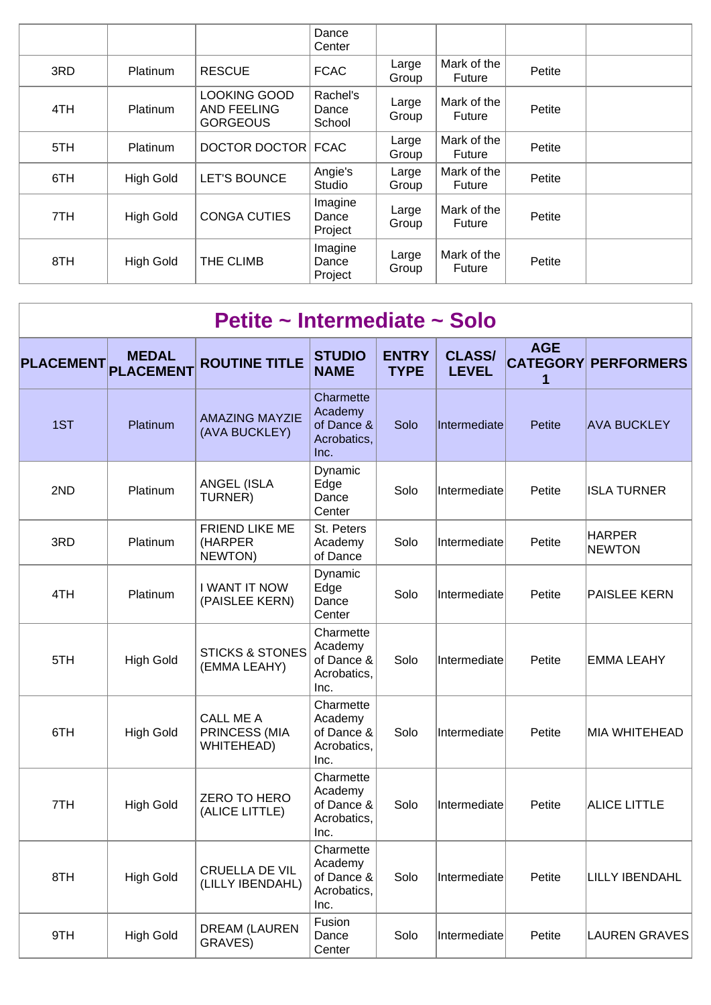|     |                  |                                                              | Dance<br>Center             |                |                              |        |  |
|-----|------------------|--------------------------------------------------------------|-----------------------------|----------------|------------------------------|--------|--|
| 3RD | <b>Platinum</b>  | <b>RESCUE</b>                                                | <b>FCAC</b>                 | Large<br>Group | Mark of the<br><b>Future</b> | Petite |  |
| 4TH | <b>Platinum</b>  | <b>LOOKING GOOD</b><br><b>AND FEELING</b><br><b>GORGEOUS</b> | Rachel's<br>Dance<br>School | Large<br>Group | Mark of the<br><b>Future</b> | Petite |  |
| 5TH | <b>Platinum</b>  | DOCTOR DOCTOR                                                | <b>FCAC</b>                 | Large<br>Group | Mark of the<br><b>Future</b> | Petite |  |
| 6TH | <b>High Gold</b> | <b>LET'S BOUNCE</b>                                          | Angie's<br>Studio           | Large<br>Group | Mark of the<br><b>Future</b> | Petite |  |
| 7TH | <b>High Gold</b> | <b>CONGA CUTIES</b>                                          | Imagine<br>Dance<br>Project | Large<br>Group | Mark of the<br>Future        | Petite |  |
| 8TH | <b>High Gold</b> | THE CLIMB                                                    | Imagine<br>Dance<br>Project | Large<br>Group | Mark of the<br>Future        | Petite |  |

|                  | Petite ~ Intermediate ~ Solo     |                                                 |                                                           |                             |                               |                 |                                |  |  |  |  |
|------------------|----------------------------------|-------------------------------------------------|-----------------------------------------------------------|-----------------------------|-------------------------------|-----------------|--------------------------------|--|--|--|--|
| <b>PLACEMENT</b> | <b>MEDAL</b><br><b>PLACEMENT</b> | <b>ROUTINE TITLE</b>                            | <b>STUDIO</b><br><b>NAME</b>                              | <b>ENTRY</b><br><b>TYPE</b> | <b>CLASS/</b><br><b>LEVEL</b> | <b>AGE</b><br>1 | <b>CATEGORY PERFORMERS</b>     |  |  |  |  |
| 1ST              | Platinum                         | <b>AMAZING MAYZIE</b><br>(AVA BUCKLEY)          | Charmette<br>Academy<br>of Dance &<br>Acrobatics,<br>Inc. | Solo                        | Intermediate                  | <b>Petite</b>   | <b>AVA BUCKLEY</b>             |  |  |  |  |
| 2ND              | Platinum                         | <b>ANGEL (ISLA</b><br>TURNER)                   | Dynamic<br>Edge<br>Dance<br>Center                        | Solo                        | Intermediate                  | Petite          | <b>ISLA TURNER</b>             |  |  |  |  |
| 3RD              | Platinum                         | FRIEND LIKE ME<br>(HARPER<br>NEWTON)            | St. Peters<br>Academy<br>of Dance                         | Solo                        | Intermediate                  | Petite          | <b>HARPER</b><br><b>NEWTON</b> |  |  |  |  |
| 4TH              | Platinum                         | <b>I WANT IT NOW</b><br>(PAISLEE KERN)          | Dynamic<br>Edge<br>Dance<br>Center                        | Solo                        | Intermediate                  | Petite          | PAISLEE KERN                   |  |  |  |  |
| 5TH              | <b>High Gold</b>                 | <b>STICKS &amp; STONES</b><br>(EMMA LEAHY)      | Charmette<br>Academy<br>of Dance &<br>Acrobatics,<br>Inc. | Solo                        | Intermediate                  | Petite          | EMMA LEAHY                     |  |  |  |  |
| 6TH              | <b>High Gold</b>                 | <b>CALL ME A</b><br>PRINCESS (MIA<br>WHITEHEAD) | Charmette<br>Academy<br>of Dance &<br>Acrobatics,<br>Inc. | Solo                        | Intermediate                  | Petite          | MIA WHITEHEAD                  |  |  |  |  |
| 7TH              | <b>High Gold</b>                 | ZERO TO HERO<br>(ALICE LITTLE)                  | Charmette<br>Academy<br>of Dance &<br>Acrobatics,<br>Inc. | Solo                        | Intermediate                  | Petite          | <b>ALICE LITTLE</b>            |  |  |  |  |
| 8TH              | <b>High Gold</b>                 | CRUELLA DE VIL<br>(LILLY IBENDAHL)              | Charmette<br>Academy<br>of Dance &<br>Acrobatics,<br>Inc. | Solo                        | Intermediate                  | Petite          | LILLY IBENDAHL                 |  |  |  |  |
| 9TH              | <b>High Gold</b>                 | <b>DREAM (LAUREN</b><br>GRAVES)                 | Fusion<br>Dance<br>Center                                 | Solo                        | Intermediate                  | Petite          | LAUREN GRAVES                  |  |  |  |  |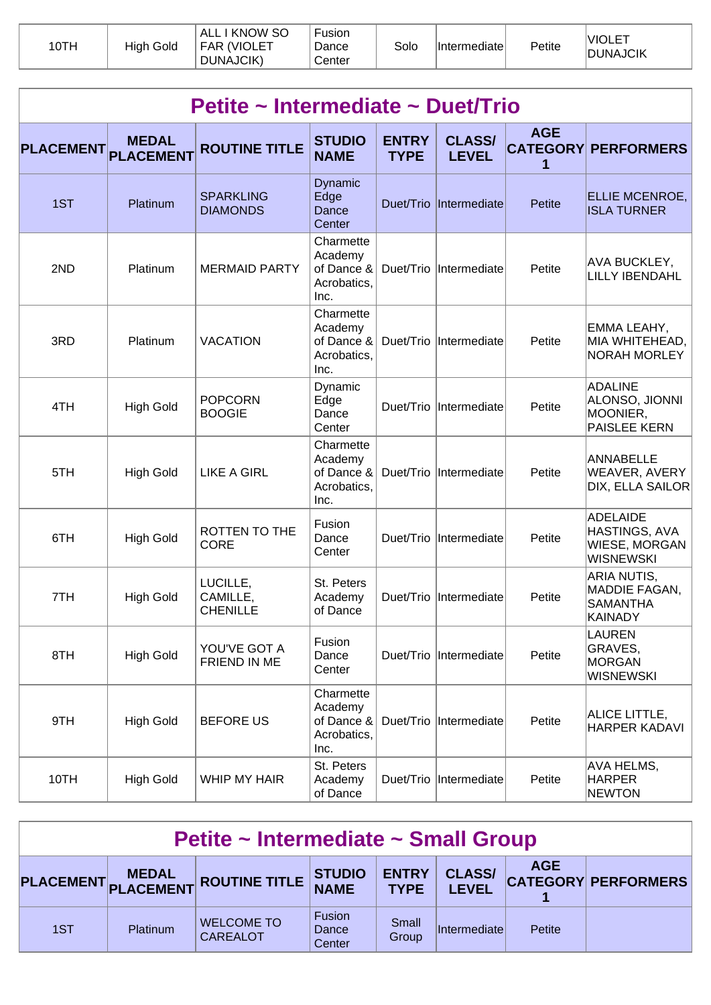| 10TH | High Gold | <b>KNOW SO</b><br>™ AL∟<br><b>FAR (VIOLET)</b><br>DUNAJCIK) | Fusion<br>Dance<br>Center | Solo | Intermediate | Petite | <b>IVIOLET</b><br><b>DUNAJCIK</b> |  |
|------|-----------|-------------------------------------------------------------|---------------------------|------|--------------|--------|-----------------------------------|--|
|------|-----------|-------------------------------------------------------------|---------------------------|------|--------------|--------|-----------------------------------|--|

| Petite ~ Intermediate ~ Duet/Trio |                                  |                                         |                                                              |                             |                               |                 |                                                                       |  |  |  |
|-----------------------------------|----------------------------------|-----------------------------------------|--------------------------------------------------------------|-----------------------------|-------------------------------|-----------------|-----------------------------------------------------------------------|--|--|--|
| <b>PLACEMENT</b>                  | <b>MEDAL</b><br><b>PLACEMENT</b> | <b>ROUTINE TITLE</b>                    | <b>STUDIO</b><br><b>NAME</b>                                 | <b>ENTRY</b><br><b>TYPE</b> | <b>CLASS/</b><br><b>LEVEL</b> | <b>AGE</b><br>1 | <b>CATEGORY PERFORMERS</b>                                            |  |  |  |
| 1ST                               | Platinum                         | <b>SPARKLING</b><br><b>DIAMONDS</b>     | Dynamic<br>Edge<br>Dance<br>Center                           |                             | Duet/Trio Intermediate        | Petite          | <b>ELLIE MCENROE,</b><br><b>ISLA TURNER</b>                           |  |  |  |
| 2ND                               | Platinum                         | <b>MERMAID PARTY</b>                    | Charmette<br>Academy<br>of Dance $\&$<br>Acrobatics,<br>Inc. |                             | Duet/Trio  Intermediate       | Petite          | AVA BUCKLEY,<br><b>LILLY IBENDAHL</b>                                 |  |  |  |
| 3RD                               | Platinum                         | <b>VACATION</b>                         | Charmette<br>Academy<br>of Dance $\&$<br>Acrobatics,<br>Inc. |                             | Duet/Trio Intermediate        | Petite          | EMMA LEAHY,<br>MIA WHITEHEAD,  <br>NORAH MORLEY                       |  |  |  |
| 4TH                               | <b>High Gold</b>                 | <b>POPCORN</b><br><b>BOOGIE</b>         | Dynamic<br>Edge<br>Dance<br>Center                           | Duet/Trio                   | Intermediate                  | Petite          | ADALINE<br>ALONSO, JIONNI<br>MOONIER,<br>PAISLEE KERN                 |  |  |  |
| 5TH                               | <b>High Gold</b>                 | <b>LIKE A GIRL</b>                      | Charmette<br>Academy<br>of Dance $\&$<br>Acrobatics,<br>Inc. |                             | Duet/Trio Intermediate        | Petite          | ANNABELLE<br>WEAVER, AVERY<br>DIX, ELLA SAILOR                        |  |  |  |
| 6TH                               | <b>High Gold</b>                 | ROTTEN TO THE<br><b>CORE</b>            | Fusion<br>Dance<br>Center                                    |                             | Duet/Trio  Intermediate       | Petite          | ADELAIDE<br>HASTINGS, AVA<br><b>WIESE, MORGAN</b><br><b>WISNEWSKI</b> |  |  |  |
| 7TH                               | <b>High Gold</b>                 | LUCILLE,<br>CAMILLE,<br><b>CHENILLE</b> | St. Peters<br>Academy<br>of Dance                            |                             | Duet/Trio  Intermediate       | Petite          | ARIA NUTIS,<br>MADDIE FAGAN,<br>SAMANTHA<br>KAINADY                   |  |  |  |
| 8TH                               | <b>High Gold</b>                 | YOU'VE GOT A<br>FRIEND IN ME            | Fusion<br>Dance<br>Center                                    |                             | Duet/Trio  Intermediate       | Petite          | LAUREN<br>GRAVES,<br><b>MORGAN</b><br><b>WISNEWSKI</b>                |  |  |  |
| 9TH                               | <b>High Gold</b>                 | <b>BEFORE US</b>                        | Charmette<br>Academy<br>of Dance &<br>Acrobatics,<br>Inc.    | Duet/Trio                   | Intermediate                  | Petite          | <b>ALICE LITTLE,</b><br>HARPER KADAVI                                 |  |  |  |
| 10TH                              | <b>High Gold</b>                 | WHIP MY HAIR                            | St. Peters<br>Academy<br>of Dance                            |                             | Duet/Trio  Intermediate       | Petite          | AVA HELMS,<br><b>HARPER</b><br><b>NEWTON</b>                          |  |  |  |

| Petite ~ Intermediate ~ Small Group |                 |                                      |                           |                             |                        |            |                            |  |  |  |
|-------------------------------------|-----------------|--------------------------------------|---------------------------|-----------------------------|------------------------|------------|----------------------------|--|--|--|
|                                     |                 | PLACEMENT MEDAL ROUTINE TITLE        | STUDIO<br>NAME            | <b>ENTRY</b><br><b>TYPE</b> | CLASS/<br><b>LEVEL</b> | <b>AGE</b> | <b>CATEGORY PERFORMERS</b> |  |  |  |
| 1ST                                 | <b>Platinum</b> | <b>WELCOME TO</b><br><b>CAREALOT</b> | Fusion<br>Dance<br>Center | Small<br>Group              | Intermediate           | Petite     |                            |  |  |  |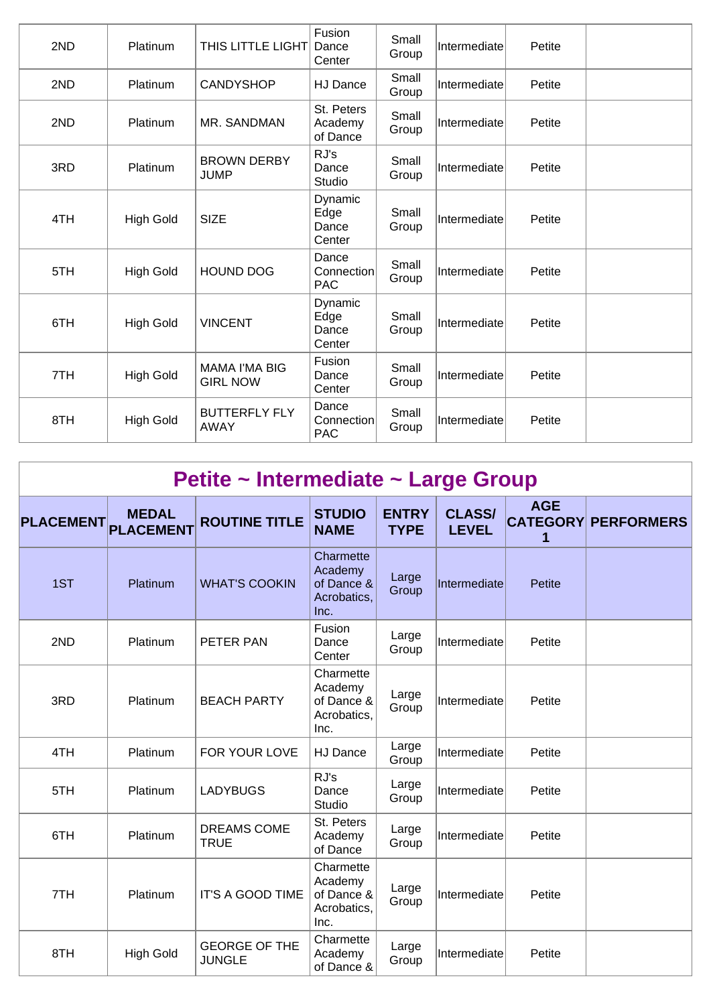| 2ND | Platinum         | THIS LITTLE LIGHT                       | Fusion<br>Dance<br>Center          | Small<br>Group | Intermediate | Petite |  |
|-----|------------------|-----------------------------------------|------------------------------------|----------------|--------------|--------|--|
| 2ND | Platinum         | <b>CANDYSHOP</b>                        | HJ Dance                           | Small<br>Group | Intermediate | Petite |  |
| 2ND | Platinum         | MR. SANDMAN                             | St. Peters<br>Academy<br>of Dance  | Small<br>Group | Intermediate | Petite |  |
| 3RD | Platinum         | <b>BROWN DERBY</b><br><b>JUMP</b>       | RJ's<br>Dance<br>Studio            | Small<br>Group | Intermediate | Petite |  |
| 4TH | <b>High Gold</b> | <b>SIZE</b>                             | Dynamic<br>Edge<br>Dance<br>Center | Small<br>Group | Intermediate | Petite |  |
| 5TH | <b>High Gold</b> | <b>HOUND DOG</b>                        | Dance<br>Connection<br><b>PAC</b>  | Small<br>Group | Intermediate | Petite |  |
| 6TH | <b>High Gold</b> | <b>VINCENT</b>                          | Dynamic<br>Edge<br>Dance<br>Center | Small<br>Group | Intermediate | Petite |  |
| 7TH | <b>High Gold</b> | <b>MAMA I'MA BIG</b><br><b>GIRL NOW</b> | Fusion<br>Dance<br>Center          | Small<br>Group | Intermediate | Petite |  |
| 8TH | <b>High Gold</b> | <b>BUTTERFLY FLY</b><br>AWAY            | Dance<br>Connection<br><b>PAC</b>  | Small<br>Group | Intermediate | Petite |  |

| Petite ~ Intermediate ~ Large Group |                                  |                                       |                                                           |                             |                               |                 |                            |  |  |  |  |
|-------------------------------------|----------------------------------|---------------------------------------|-----------------------------------------------------------|-----------------------------|-------------------------------|-----------------|----------------------------|--|--|--|--|
| <b>PLACEMENT</b>                    | <b>MEDAL</b><br><b>PLACEMENT</b> | <b>ROUTINE TITLE</b>                  | <b>STUDIO</b><br><b>NAME</b>                              | <b>ENTRY</b><br><b>TYPE</b> | <b>CLASS/</b><br><b>LEVEL</b> | <b>AGE</b><br>1 | <b>CATEGORY PERFORMERS</b> |  |  |  |  |
| 1ST                                 | Platinum                         | <b>WHAT'S COOKIN</b>                  | Charmette<br>Academy<br>of Dance &<br>Acrobatics,<br>Inc. | Large<br>Group              | Intermediate                  | <b>Petite</b>   |                            |  |  |  |  |
| 2ND                                 | Platinum                         | PETER PAN                             | Fusion<br>Dance<br>Center                                 | Large<br>Group              | Intermediate                  | Petite          |                            |  |  |  |  |
| 3RD                                 | Platinum                         | <b>BEACH PARTY</b>                    | Charmette<br>Academy<br>of Dance &<br>Acrobatics,<br>Inc. | Large<br>Group              | Intermediate                  | Petite          |                            |  |  |  |  |
| 4TH                                 | Platinum                         | FOR YOUR LOVE                         | <b>HJ Dance</b>                                           | Large<br>Group              | Intermediate                  | Petite          |                            |  |  |  |  |
| 5TH                                 | Platinum                         | <b>LADYBUGS</b>                       | RJ's<br>Dance<br>Studio                                   | Large<br>Group              | Intermediate                  | Petite          |                            |  |  |  |  |
| 6TH                                 | Platinum                         | <b>DREAMS COME</b><br><b>TRUE</b>     | St. Peters<br>Academy<br>of Dance                         | Large<br>Group              | Intermediate                  | Petite          |                            |  |  |  |  |
| 7TH                                 | Platinum                         | <b>IT'S A GOOD TIME</b>               | Charmette<br>Academy<br>of Dance &<br>Acrobatics,<br>Inc. | Large<br>Group              | Intermediate                  | Petite          |                            |  |  |  |  |
| 8TH                                 | <b>High Gold</b>                 | <b>GEORGE OF THE</b><br><b>JUNGLE</b> | Charmette<br>Academy<br>of Dance &                        | Large<br>Group              | Intermediate                  | Petite          |                            |  |  |  |  |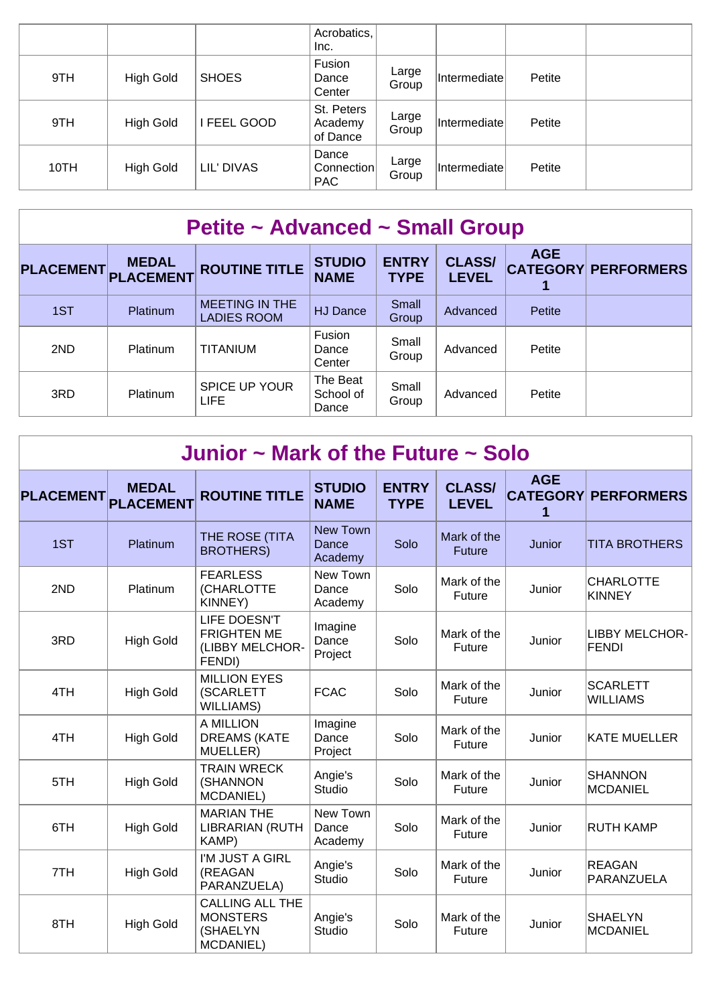|      |                  |              | Acrobatics,<br>Inc.               |                |                     |        |  |
|------|------------------|--------------|-----------------------------------|----------------|---------------------|--------|--|
| 9TH  | <b>High Gold</b> | <b>SHOES</b> | Fusion<br>Dance<br>Center         | Large<br>Group | <i>Intermediate</i> | Petite |  |
| 9TH  | <b>High Gold</b> | I FEEL GOOD  | St. Peters<br>Academy<br>of Dance | Large<br>Group | Intermediate        | Petite |  |
| 10TH | <b>High Gold</b> | LIL' DIVAS   | Dance<br>Connection<br><b>PAC</b> | Large<br>Group | Intermediate        | Petite |  |

| Petite ~ Advanced ~ Small Group |                                     |                                             |                                |                             |                               |            |                            |  |  |  |
|---------------------------------|-------------------------------------|---------------------------------------------|--------------------------------|-----------------------------|-------------------------------|------------|----------------------------|--|--|--|
|                                 | <b>MEDAL</b><br>PLACEMENT PLACEMENT | <b>ROUTINE TITLE</b>                        | <b>STUDIO</b><br><b>NAME</b>   | <b>ENTRY</b><br><b>TYPE</b> | <b>CLASS/</b><br><b>LEVEL</b> | <b>AGE</b> | <b>CATEGORY PERFORMERS</b> |  |  |  |
| 1ST                             | Platinum                            | <b>MEETING IN THE</b><br><b>LADIES ROOM</b> | <b>HJ Dance</b>                | Small<br>Group              | Advanced                      | Petite     |                            |  |  |  |
| 2ND                             | Platinum                            | <b>TITANIUM</b>                             | Fusion<br>Dance<br>Center      | Small<br>Group              | Advanced                      | Petite     |                            |  |  |  |
| 3RD                             | Platinum                            | SPICE UP YOUR<br><b>LIFE</b>                | The Beat<br>School of<br>Dance | Small<br>Group              | Advanced                      | Petite     |                            |  |  |  |

| Junior $\sim$ Mark of the Future $\sim$ Solo |                                  |                                                                           |                                     |                             |                               |                                    |                                       |  |  |  |
|----------------------------------------------|----------------------------------|---------------------------------------------------------------------------|-------------------------------------|-----------------------------|-------------------------------|------------------------------------|---------------------------------------|--|--|--|
| <b>PLACEMENT</b>                             | <b>MEDAL</b><br><b>PLACEMENT</b> | <b>ROUTINE TITLE</b>                                                      | <b>STUDIO</b><br><b>NAME</b>        | <b>ENTRY</b><br><b>TYPE</b> | <b>CLASS/</b><br><b>LEVEL</b> | <b>AGE</b><br><b>CATEGORY</b><br>1 | <b>PERFORMERS</b>                     |  |  |  |
| 1ST                                          | <b>Platinum</b>                  | THE ROSE (TITA<br><b>BROTHERS)</b>                                        | <b>New Town</b><br>Dance<br>Academy | Solo                        | Mark of the<br><b>Future</b>  | Junior                             | <b>TITA BROTHERS</b>                  |  |  |  |
| 2ND                                          | Platinum                         | <b>FEARLESS</b><br>(CHARLOTTE<br>KINNEY)                                  | New Town<br>Dance<br>Academy        | Solo                        | Mark of the<br>Future         | Junior                             | <b>CHARLOTTE</b><br>KINNEY            |  |  |  |
| 3RD                                          | <b>High Gold</b>                 | LIFE DOESN'T<br><b>FRIGHTEN ME</b><br>(LIBBY MELCHOR-<br>FENDI)           | Imagine<br>Dance<br>Project         | Solo                        | Mark of the<br>Future         | Junior                             | <b>LIBBY MELCHOR-</b><br><b>FENDI</b> |  |  |  |
| 4TH                                          | <b>High Gold</b>                 | <b>MILLION EYES</b><br>(SCARLETT<br><b>WILLIAMS)</b>                      | <b>FCAC</b>                         | Solo                        | Mark of the<br><b>Future</b>  | Junior                             | <b>SCARLETT</b><br><b>WILLIAMS</b>    |  |  |  |
| 4TH                                          | <b>High Gold</b>                 | A MILLION<br><b>DREAMS (KATE</b><br>MUELLER)                              | Imagine<br>Dance<br>Project         | Solo                        | Mark of the<br><b>Future</b>  | Junior                             | <b>KATE MUELLER</b>                   |  |  |  |
| 5TH                                          | <b>High Gold</b>                 | <b>TRAIN WRECK</b><br>(SHANNON<br>MCDANIEL)                               | Angie's<br>Studio                   | Solo                        | Mark of the<br><b>Future</b>  | Junior                             | <b>SHANNON</b><br>MCDANIEL            |  |  |  |
| 6TH                                          | <b>High Gold</b>                 | <b>MARIAN THE</b><br><b>LIBRARIAN (RUTH</b><br>KAMP)                      | New Town<br>Dance<br>Academy        | Solo                        | Mark of the<br><b>Future</b>  | Junior                             | <b>RUTH KAMP</b>                      |  |  |  |
| 7TH                                          | <b>High Gold</b>                 | I'M JUST A GIRL<br>(REAGAN<br>PARANZUELA)                                 | Angie's<br><b>Studio</b>            | Solo                        | Mark of the<br><b>Future</b>  | Junior                             | <b>REAGAN</b><br>PARANZUELA           |  |  |  |
| 8TH                                          | <b>High Gold</b>                 | <b>CALLING ALL THE</b><br><b>MONSTERS</b><br>(SHAELYN<br><b>MCDANIEL)</b> | Angie's<br>Studio                   | Solo                        | Mark of the<br><b>Future</b>  | Junior                             | SHAELYN<br>MCDANIEL                   |  |  |  |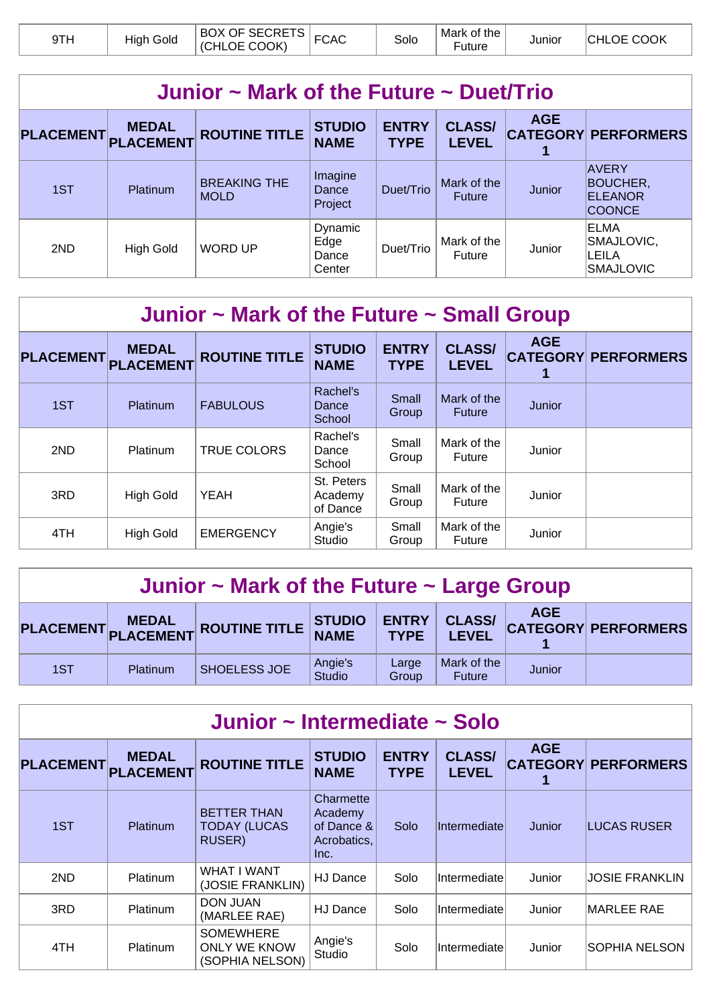| OF SECRETS<br><b>BOX</b><br>Mark of the<br><b>FCAC</b><br>9TH<br>:HI<br>Gold<br><u>.</u><br>Solo<br>Junior<br>High<br>1⊢<br>COOK)<br>(CHLOE<br>uture | COOK |
|------------------------------------------------------------------------------------------------------------------------------------------------------|------|
|------------------------------------------------------------------------------------------------------------------------------------------------------|------|

| Junior $\sim$ Mark of the Future $\sim$ Duet/Trio |                           |                                    |                                    |                             |                               |            |                                                             |  |  |  |
|---------------------------------------------------|---------------------------|------------------------------------|------------------------------------|-----------------------------|-------------------------------|------------|-------------------------------------------------------------|--|--|--|
| <b>PLACEMENT</b>                                  | <b>MEDAL</b><br>PLACEMENT | <b>ROUTINE TITLE</b>               | <b>STUDIO</b><br><b>NAME</b>       | <b>ENTRY</b><br><b>TYPE</b> | <b>CLASS/</b><br><b>LEVEL</b> | <b>AGE</b> | <b>CATEGORY PERFORMERS</b>                                  |  |  |  |
| 1ST                                               | Platinum                  | <b>BREAKING THE</b><br><b>MOLD</b> | Imagine<br>Dance<br>Project        | Duet/Trio                   | Mark of the<br><b>Future</b>  | Junior     | AVERY<br><b>BOUCHER,</b><br><b>ELEANOR</b><br><b>COONCE</b> |  |  |  |
| 2ND                                               | <b>High Gold</b>          | <b>WORD UP</b>                     | Dynamic<br>Edge<br>Dance<br>Center | Duet/Trio                   | Mark of the<br>Future         | Junior     | ELMA<br>SMAJLOVIC,<br>LEILA<br><b>SMAJLOVIC</b>             |  |  |  |

| Junior $\sim$ Mark of the Future $\sim$ Small Group |                                  |                      |                                   |                             |                               |            |                            |  |  |  |
|-----------------------------------------------------|----------------------------------|----------------------|-----------------------------------|-----------------------------|-------------------------------|------------|----------------------------|--|--|--|
| <b>PLACEMENT</b>                                    | <b>MEDAL</b><br><b>PLACEMENT</b> | <b>ROUTINE TITLE</b> | <b>STUDIO</b><br><b>NAME</b>      | <b>ENTRY</b><br><b>TYPE</b> | <b>CLASS/</b><br><b>LEVEL</b> | <b>AGE</b> | <b>CATEGORY PERFORMERS</b> |  |  |  |
| 1ST                                                 | Platinum                         | <b>FABULOUS</b>      | Rachel's<br>Dance<br>School       | Small<br>Group              | Mark of the<br><b>Future</b>  | Junior     |                            |  |  |  |
| 2ND                                                 | Platinum                         | TRUE COLORS          | Rachel's<br>Dance<br>School       | Small<br>Group              | Mark of the<br><b>Future</b>  | Junior     |                            |  |  |  |
| 3RD                                                 | <b>High Gold</b>                 | <b>YEAH</b>          | St. Peters<br>Academy<br>of Dance | Small<br>Group              | Mark of the<br>Future         | Junior     |                            |  |  |  |
| 4TH                                                 | <b>High Gold</b>                 | <b>EMERGENCY</b>     | Angie's<br>Studio                 | Small<br>Group              | Mark of the<br>Future         | Junior     |                            |  |  |  |

| Junior $\sim$ Mark of the Future $\sim$ Large Group |                 |                                      |                   |                |                              |            |                                  |  |  |  |
|-----------------------------------------------------|-----------------|--------------------------------------|-------------------|----------------|------------------------------|------------|----------------------------------|--|--|--|
|                                                     |                 | PLACEMENT MEDAL ROUTINE TITLE STUDIO |                   |                | <b>LEVEL</b>                 | <b>AGE</b> | ENTRY CLASS/ CATEGORY PERFORMERS |  |  |  |
| 1ST                                                 | <b>Platinum</b> | SHOELESS JOE                         | Angie's<br>Studio | Large<br>Group | Mark of the<br><b>Future</b> | Junior     |                                  |  |  |  |

| Junior ~ Intermediate ~ Solo |                                  |                                                            |                                                           |                             |                               |            |                            |  |  |  |  |
|------------------------------|----------------------------------|------------------------------------------------------------|-----------------------------------------------------------|-----------------------------|-------------------------------|------------|----------------------------|--|--|--|--|
| <b>PLACEMENT</b>             | <b>MEDAL</b><br><b>PLACEMENT</b> | <b>ROUTINE TITLE</b>                                       | <b>STUDIO</b><br><b>NAME</b>                              | <b>ENTRY</b><br><b>TYPE</b> | <b>CLASS/</b><br><b>LEVEL</b> | <b>AGE</b> | <b>CATEGORY PERFORMERS</b> |  |  |  |  |
| 1ST                          | <b>Platinum</b>                  | <b>BETTER THAN</b><br><b>TODAY (LUCAS</b><br><b>RUSER)</b> | Charmette<br>Academy<br>of Dance &<br>Acrobatics,<br>Inc. | Solo                        | Intermediate                  | Junior     | LUCAS RUSER                |  |  |  |  |
| 2ND                          | Platinum                         | <b>WHAT I WANT</b><br>(JOSIE FRANKLIN)                     | <b>HJ</b> Dance                                           | Solo                        | Intermediate                  | Junior     | <b>JOSIE FRANKLIN</b>      |  |  |  |  |
| 3RD                          | Platinum                         | <b>DON JUAN</b><br>(MARLEE RAE)                            | HJ Dance                                                  | Solo                        | Intermediatel                 | Junior     | <b>MARLEE RAE</b>          |  |  |  |  |
| 4TH                          | <b>Platinum</b>                  | <b>SOMEWHERE</b><br><b>ONLY WE KNOW</b><br>(SOPHIA NELSON) | Angie's<br>Studio                                         | Solo                        | Intermediate                  | Junior     | SOPHIA NELSON              |  |  |  |  |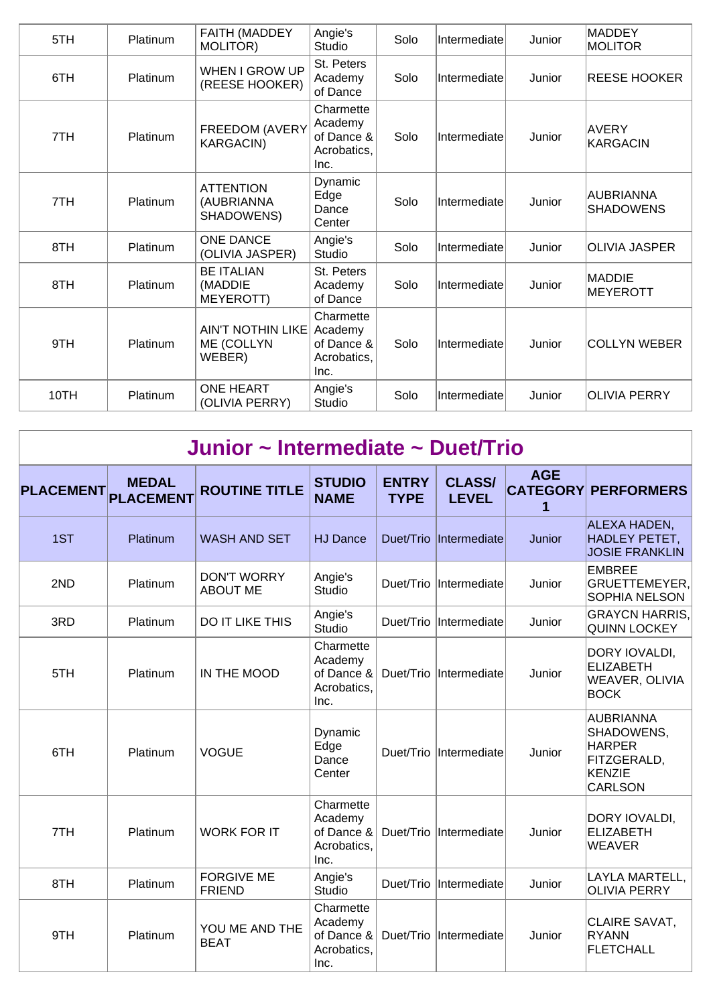| 5TH  | Platinum | FAITH (MADDEY<br>MOLITOR)                        | Angie's<br>Studio                                         | Solo | Intermediate | Junior | MADDEY<br><b>MOLITOR</b>      |
|------|----------|--------------------------------------------------|-----------------------------------------------------------|------|--------------|--------|-------------------------------|
| 6TH  | Platinum | WHEN I GROW UP<br>(REESE HOOKER)                 | St. Peters<br>Academy<br>of Dance                         | Solo | Intermediate | Junior | <b>REESE HOOKER</b>           |
| 7TH  | Platinum | FREEDOM (AVERY<br><b>KARGACIN)</b>               | Charmette<br>Academy<br>of Dance &<br>Acrobatics,<br>Inc. | Solo | Intermediate | Junior | <b>AVERY</b><br>KARGACIN      |
| 7TH  | Platinum | <b>ATTENTION</b><br>(AUBRIANNA<br>SHADOWENS)     | Dynamic<br>Edge<br>Dance<br>Center                        | Solo | Intermediate | Junior | AUBRIANNA<br><b>SHADOWENS</b> |
| 8TH  | Platinum | <b>ONE DANCE</b><br>(OLIVIA JASPER)              | Angie's<br>Studio                                         | Solo | Intermediate | Junior | <b>OLIVIA JASPER</b>          |
| 8TH  | Platinum | <b>BE ITALIAN</b><br>(MADDIE<br><b>MEYEROTT)</b> | St. Peters<br>Academy<br>of Dance                         | Solo | Intermediate | Junior | MADDIE<br>MEYEROTT            |
| 9TH  | Platinum | <b>AIN'T NOTHIN LIKE</b><br>ME (COLLYN<br>WEBER) | Charmette<br>Academy<br>of Dance &<br>Acrobatics,<br>Inc. | Solo | Intermediate | Junior | <b>COLLYN WEBER</b>           |
| 10TH | Platinum | <b>ONE HEART</b><br>(OLIVIA PERRY)               | Angie's<br>Studio                                         | Solo | Intermediate | Junior | <b>OLIVIA PERRY</b>           |

| Junior ~ Intermediate ~ Duet/Trio |              |                                       |                                                           |                             |                               |                 |                                                                                     |  |  |  |
|-----------------------------------|--------------|---------------------------------------|-----------------------------------------------------------|-----------------------------|-------------------------------|-----------------|-------------------------------------------------------------------------------------|--|--|--|
| PLACEMENT PLACEMENT               | <b>MEDAL</b> | <b>ROUTINE TITLE</b>                  | <b>STUDIO</b><br><b>NAME</b>                              | <b>ENTRY</b><br><b>TYPE</b> | <b>CLASS/</b><br><b>LEVEL</b> | <b>AGE</b><br>1 | <b>CATEGORY PERFORMERS</b>                                                          |  |  |  |
| 1ST                               | Platinum     | <b>WASH AND SET</b>                   | <b>HJ Dance</b>                                           | Duet/Trio                   | Intermediate                  | Junior          | ALEXA HADEN,<br>HADLEY PETET,<br><b>JOSIE FRANKLIN</b>                              |  |  |  |
| 2ND                               | Platinum     | <b>DON'T WORRY</b><br><b>ABOUT ME</b> | Angie's<br>Studio                                         | Duet/Trio                   | Intermediate                  | Junior          | <b>EMBREE</b><br>GRUETTEMEYER,<br><b>SOPHIA NELSON</b>                              |  |  |  |
| 3RD                               | Platinum     | <b>DO IT LIKE THIS</b>                | Angie's<br>Studio                                         | Duet/Trio                   | Intermediate                  | Junior          | <b>GRAYCN HARRIS,</b><br>QUINN LOCKEY                                               |  |  |  |
| 5TH                               | Platinum     | IN THE MOOD                           | Charmette<br>Academy<br>of Dance &<br>Acrobatics,<br>Inc. | Duet/Trio                   | Intermediate                  | Junior          | DORY IOVALDI,<br>ELIZABETH<br><b>WEAVER, OLIVIA</b><br><b>BOCK</b>                  |  |  |  |
| 6TH                               | Platinum     | <b>VOGUE</b>                          | Dynamic<br>Edge<br>Dance<br>Center                        | Duet/Trio                   | Intermediate                  | Junior          | AUBRIANNA<br>SHADOWENS,<br><b>HARPER</b><br>FITZGERALD,<br>KENZIE<br><b>CARLSON</b> |  |  |  |
| 7TH                               | Platinum     | <b>WORK FOR IT</b>                    | Charmette<br>Academy<br>of Dance &<br>Acrobatics,<br>Inc. | Duet/Trio                   | Intermediate                  | Junior          | DORY IOVALDI,<br>ELIZABETH<br><b>WEAVER</b>                                         |  |  |  |
| 8TH                               | Platinum     | <b>FORGIVE ME</b><br><b>FRIEND</b>    | Angie's<br>Studio                                         | Duet/Trio                   | Intermediate                  | Junior          | LAYLA MARTELL,<br><b>OLIVIA PERRY</b>                                               |  |  |  |
| 9TH                               | Platinum     | YOU ME AND THE<br><b>BEAT</b>         | Charmette<br>Academy<br>of Dance &<br>Acrobatics,<br>Inc. | Duet/Trio                   | Intermediate                  | Junior          | CLAIRE SAVAT,<br><b>RYANN</b><br><b>FLETCHALL</b>                                   |  |  |  |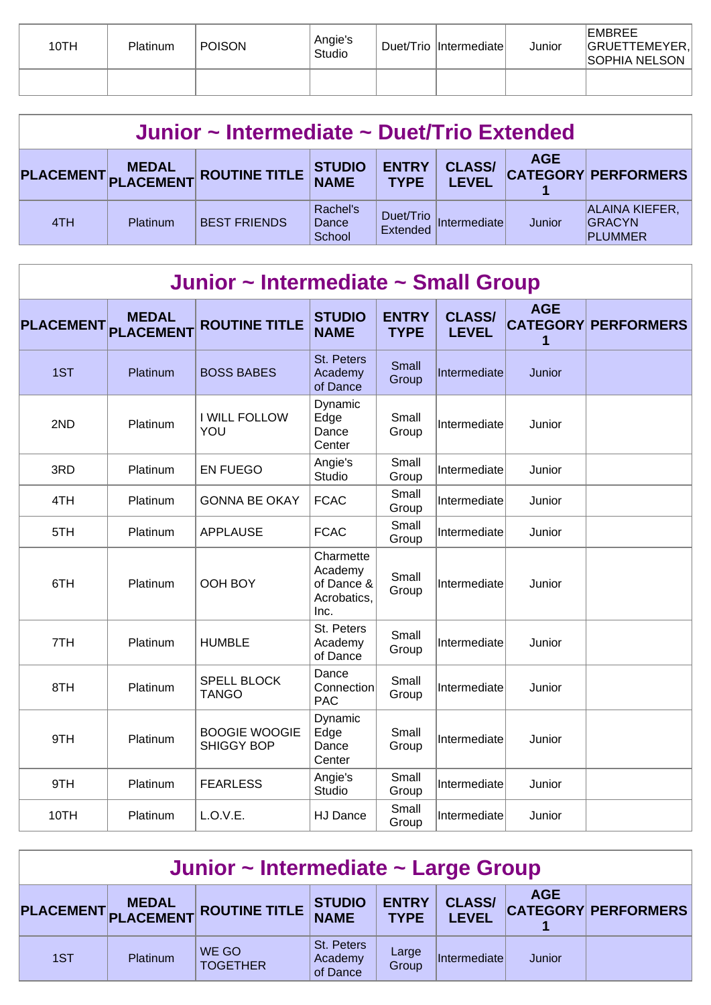| 10TH | Platinum | <b>POISON</b> | Angie's<br>Studio | Duet/Trio  Intermediate | Junior | <b>EMBREE</b><br>GRUETTEMEYER,<br>SOPHIA NELSON |
|------|----------|---------------|-------------------|-------------------------|--------|-------------------------------------------------|
|      |          |               |                   |                         |        |                                                 |

| Junior ~ Intermediate ~ Duet/Trio Extended |          |                               |                             |                             |                                    |            |                                                          |  |  |
|--------------------------------------------|----------|-------------------------------|-----------------------------|-----------------------------|------------------------------------|------------|----------------------------------------------------------|--|--|
|                                            |          | PLACEMENT MEDAL ROUTINE TITLE | <b>STUDIO<br/>NAME</b>      | <b>ENTRY</b><br><b>TYPE</b> | <b>CLASS/</b><br><b>LEVEL</b>      | <b>AGE</b> | <b>CATEGORY PERFORMERS</b>                               |  |  |
| 4TH                                        | Platinum | <b>BEST FRIENDS</b>           | Rachel's<br>Dance<br>School |                             | Duet/Trio<br>Extended Intermediate | Junior     | <b>ALAINA KIEFER,</b><br><b>GRACYN</b><br><b>PLUMMER</b> |  |  |

| Junior ~ Intermediate ~ Small Group |                                  |                                           |                                                           |                             |                               |                 |                            |  |  |  |  |
|-------------------------------------|----------------------------------|-------------------------------------------|-----------------------------------------------------------|-----------------------------|-------------------------------|-----------------|----------------------------|--|--|--|--|
| <b>PLACEMENT</b>                    | <b>MEDAL</b><br><b>PLACEMENT</b> | <b>ROUTINE TITLE</b>                      | <b>STUDIO</b><br><b>NAME</b>                              | <b>ENTRY</b><br><b>TYPE</b> | <b>CLASS/</b><br><b>LEVEL</b> | <b>AGE</b><br>1 | <b>CATEGORY PERFORMERS</b> |  |  |  |  |
| 1ST                                 | Platinum                         | <b>BOSS BABES</b>                         | St. Peters<br>Academy<br>of Dance                         | Small<br>Group              | Intermediate                  | Junior          |                            |  |  |  |  |
| 2ND                                 | Platinum                         | <b>I WILL FOLLOW</b><br>YOU               | Dynamic<br>Edge<br>Dance<br>Center                        | Small<br>Group              | Intermediate                  | Junior          |                            |  |  |  |  |
| 3RD                                 | Platinum                         | <b>EN FUEGO</b>                           | Angie's<br>Studio                                         | Small<br>Group              | Intermediate                  | Junior          |                            |  |  |  |  |
| 4TH                                 | Platinum                         | <b>GONNA BE OKAY</b>                      | <b>FCAC</b>                                               | Small<br>Group              | Intermediate                  | Junior          |                            |  |  |  |  |
| 5TH                                 | Platinum                         | <b>APPLAUSE</b>                           | <b>FCAC</b>                                               | Small<br>Group              | Intermediate                  | Junior          |                            |  |  |  |  |
| 6TH                                 | Platinum                         | OOH BOY                                   | Charmette<br>Academy<br>of Dance &<br>Acrobatics,<br>Inc. | Small<br>Group              | Intermediate                  | Junior          |                            |  |  |  |  |
| 7TH                                 | Platinum                         | <b>HUMBLE</b>                             | St. Peters<br>Academy<br>of Dance                         | Small<br>Group              | Intermediate                  | Junior          |                            |  |  |  |  |
| 8TH                                 | Platinum                         | <b>SPELL BLOCK</b><br><b>TANGO</b>        | Dance<br>Connection<br><b>PAC</b>                         | Small<br>Group              | Intermediate                  | Junior          |                            |  |  |  |  |
| 9TH                                 | Platinum                         | <b>BOOGIE WOOGIE</b><br><b>SHIGGY BOP</b> | Dynamic<br>Edge<br>Dance<br>Center                        | Small<br>Group              | Intermediate                  | Junior          |                            |  |  |  |  |
| 9TH                                 | Platinum                         | <b>FEARLESS</b>                           | Angie's<br>Studio                                         | Small<br>Group              | Intermediate                  | Junior          |                            |  |  |  |  |
| 10TH                                | Platinum                         | L.O.V.E.                                  | HJ Dance                                                  | Small<br>Group              | Intermediate                  | Junior          |                            |  |  |  |  |

| Junior ~ Intermediate ~ Large Group                                                                                                                                                                            |          |                          |                                   |                |              |        |  |  |  |
|----------------------------------------------------------------------------------------------------------------------------------------------------------------------------------------------------------------|----------|--------------------------|-----------------------------------|----------------|--------------|--------|--|--|--|
| <b>AGE</b><br><b>CLASS/</b><br><b>ENTRY</b><br><b>STUDIO<br/>NAME</b><br>$\texttt{PLACEMENT}\textcolor{red}{\mid}$ PLACEMENT ROUTINE TITLE $\mid$<br><b>CATEGORY PERFORMERS</b><br><b>TYPE</b><br><b>LEVEL</b> |          |                          |                                   |                |              |        |  |  |  |
| 1ST                                                                                                                                                                                                            | Platinum | WE GO<br><b>TOGETHER</b> | St. Peters<br>Academy<br>of Dance | Large<br>Group | Intermediate | Junior |  |  |  |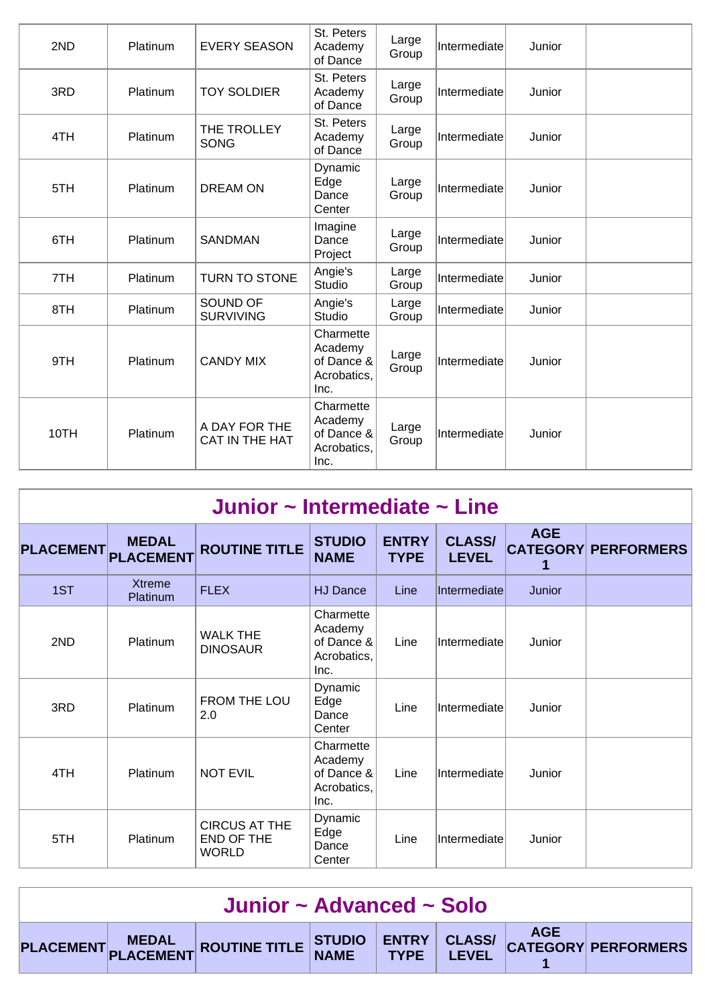| 2ND  | Platinum | <b>EVERY SEASON</b>             | St. Peters<br>Academy<br>of Dance                         | Large<br>Group | Intermediate | Junior |  |
|------|----------|---------------------------------|-----------------------------------------------------------|----------------|--------------|--------|--|
| 3RD  | Platinum | <b>TOY SOLDIER</b>              | St. Peters<br>Academy<br>of Dance                         | Large<br>Group | Intermediate | Junior |  |
| 4TH  | Platinum | THE TROLLEY<br><b>SONG</b>      | St. Peters<br>Academy<br>of Dance                         | Large<br>Group | Intermediate | Junior |  |
| 5TH  | Platinum | <b>DREAM ON</b>                 | Dynamic<br>Edge<br>Dance<br>Center                        | Large<br>Group | Intermediate | Junior |  |
| 6TH  | Platinum | <b>SANDMAN</b>                  | Imagine<br>Dance<br>Project                               | Large<br>Group | Intermediate | Junior |  |
| 7TH  | Platinum | TURN TO STONE                   | Angie's<br>Studio                                         | Large<br>Group | Intermediate | Junior |  |
| 8TH  | Platinum | SOUND OF<br><b>SURVIVING</b>    | Angie's<br>Studio                                         | Large<br>Group | Intermediate | Junior |  |
| 9TH  | Platinum | <b>CANDY MIX</b>                | Charmette<br>Academy<br>of Dance &<br>Acrobatics,<br>Inc. | Large<br>Group | Intermediate | Junior |  |
| 10TH | Platinum | A DAY FOR THE<br>CAT IN THE HAT | Charmette<br>Academy<br>of Dance &<br>Acrobatics,<br>Inc. | Large<br>Group | Intermediate | Junior |  |

| Junior $\sim$ Intermediate $\sim$ Line |                                  |                                                    |                                                           |                             |                               |            |                            |  |  |  |  |
|----------------------------------------|----------------------------------|----------------------------------------------------|-----------------------------------------------------------|-----------------------------|-------------------------------|------------|----------------------------|--|--|--|--|
| <b>PLACEMENT</b>                       | <b>MEDAL</b><br><b>PLACEMENT</b> | <b>ROUTINE TITLE</b>                               | <b>STUDIO</b><br><b>NAME</b>                              | <b>ENTRY</b><br><b>TYPE</b> | <b>CLASS/</b><br><b>LEVEL</b> | <b>AGE</b> | <b>CATEGORY PERFORMERS</b> |  |  |  |  |
| 1ST                                    | <b>Xtreme</b><br>Platinum        | <b>FLEX</b>                                        | <b>HJ Dance</b>                                           | Line                        | Intermediate                  | Junior     |                            |  |  |  |  |
| 2ND                                    | Platinum                         | <b>WALK THE</b><br><b>DINOSAUR</b>                 | Charmette<br>Academy<br>of Dance &<br>Acrobatics,<br>Inc. | Line                        | Intermediate                  | Junior     |                            |  |  |  |  |
| 3RD                                    | Platinum                         | FROM THE LOU<br>2.0                                | Dynamic<br>Edge<br>Dance<br>Center                        | Line                        | Intermediate                  | Junior     |                            |  |  |  |  |
| 4TH                                    | Platinum                         | <b>NOT EVIL</b>                                    | Charmette<br>Academy<br>of Dance &<br>Acrobatics,<br>Inc. | Line                        | Intermediate                  | Junior     |                            |  |  |  |  |
| 5TH                                    | Platinum                         | <b>CIRCUS AT THE</b><br>END OF THE<br><b>WORLD</b> | Dynamic<br>Edge<br>Dance<br>Center                        | Line                        | Intermediate                  | Junior     |                            |  |  |  |  |

| Junior $\sim$ Advanced $\sim$ Solo |  |                                                                       |  |  |  |  |  |  |
|------------------------------------|--|-----------------------------------------------------------------------|--|--|--|--|--|--|
|                                    |  | PLACEMENT MEDAL ROUTINE TITLE STUDIO ENTRY CLASS/ CATEGORY PERFORMERS |  |  |  |  |  |  |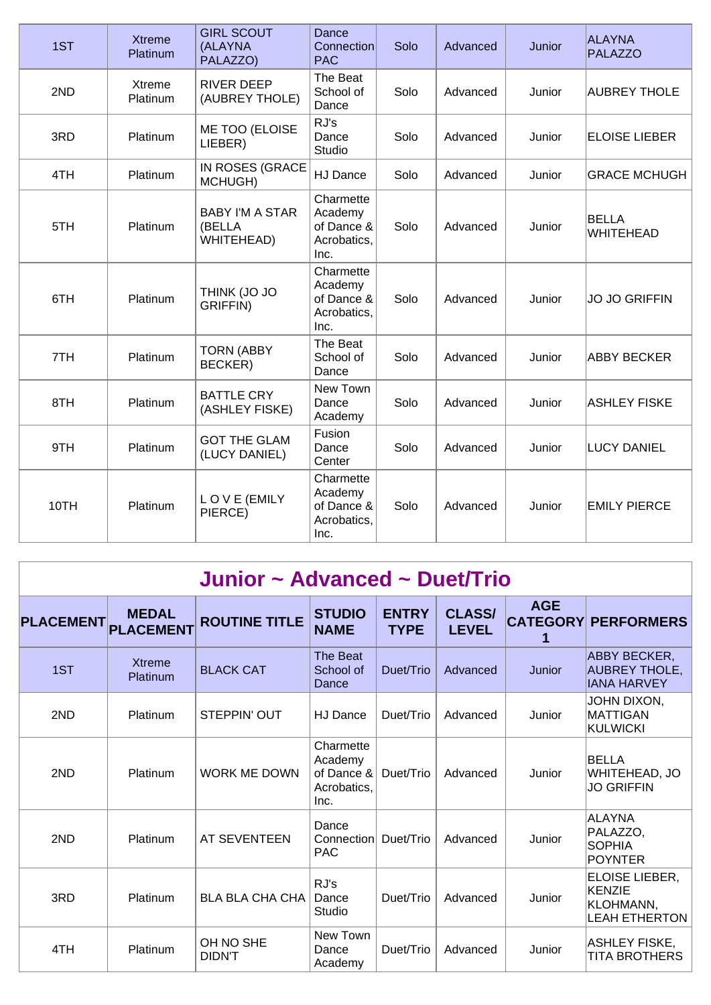| 1ST  | <b>Xtreme</b><br>Platinum | <b>GIRL SCOUT</b><br>(ALAYNA<br>PALAZZO)       | <b>Dance</b><br>Connection<br><b>PAC</b>                  | Solo | Advanced | Junior | ALAYNA<br><b>PALAZZO</b>  |
|------|---------------------------|------------------------------------------------|-----------------------------------------------------------|------|----------|--------|---------------------------|
| 2ND  | Xtreme<br>Platinum        | <b>RIVER DEEP</b><br>(AUBREY THOLE)            | The Beat<br>School of<br>Dance                            | Solo | Advanced | Junior | <b>AUBREY THOLE</b>       |
| 3RD  | Platinum                  | ME TOO (ELOISE<br>LIEBER)                      | RJ's<br>Dance<br>Studio                                   | Solo | Advanced | Junior | <b>ELOISE LIEBER</b>      |
| 4TH  | Platinum                  | IN ROSES (GRACE<br>MCHUGH)                     | HJ Dance                                                  | Solo | Advanced | Junior | <b>GRACE MCHUGH</b>       |
| 5TH  | Platinum                  | <b>BABY I'M A STAR</b><br>(BELLA<br>WHITEHEAD) | Charmette<br>Academy<br>of Dance &<br>Acrobatics,<br>Inc. | Solo | Advanced | Junior | <b>BELLA</b><br>WHITEHEAD |
| 6TH  | Platinum                  | THINK (JO JO<br>GRIFFIN)                       | Charmette<br>Academy<br>of Dance &<br>Acrobatics,<br>Inc. | Solo | Advanced | Junior | <b>JO JO GRIFFIN</b>      |
| 7TH  | Platinum                  | <b>TORN (ABBY</b><br>BECKER)                   | The Beat<br>School of<br>Dance                            | Solo | Advanced | Junior | <b>ABBY BECKER</b>        |
| 8TH  | Platinum                  | <b>BATTLE CRY</b><br>(ASHLEY FISKE)            | New Town<br>Dance<br>Academy                              | Solo | Advanced | Junior | <b>ASHLEY FISKE</b>       |
| 9TH  | Platinum                  | <b>GOT THE GLAM</b><br>(LUCY DANIEL)           | Fusion<br>Dance<br>Center                                 | Solo | Advanced | Junior | LUCY DANIEL               |
| 10TH | Platinum                  | LOVE (EMILY<br>PIERCE)                         | Charmette<br>Academy<br>of Dance &<br>Acrobatics,<br>Inc. | Solo | Advanced | Junior | <b>EMILY PIERCE</b>       |

| Junior ~ Advanced ~ Duet/Trio |                                  |                            |                                                           |                             |                               |            |                                                            |  |  |  |  |
|-------------------------------|----------------------------------|----------------------------|-----------------------------------------------------------|-----------------------------|-------------------------------|------------|------------------------------------------------------------|--|--|--|--|
| <b>PLACEMENT</b>              | <b>MEDAL</b><br><b>PLACEMENT</b> | <b>ROUTINE TITLE</b>       | <b>STUDIO</b><br><b>NAME</b>                              | <b>ENTRY</b><br><b>TYPE</b> | <b>CLASS/</b><br><b>LEVEL</b> | <b>AGE</b> | <b>CATEGORY PERFORMERS</b>                                 |  |  |  |  |
| 1ST                           | <b>Xtreme</b><br>Platinum        | <b>BLACK CAT</b>           | The Beat<br>School of<br>Dance                            | Duet/Trio                   | Advanced                      | Junior     | ABBY BECKER,<br><b>AUBREY THOLE,</b><br><b>IANA HARVEY</b> |  |  |  |  |
| 2ND                           | Platinum                         | <b>STEPPIN' OUT</b>        | HJ Dance                                                  | Duet/Trio                   | Advanced                      | Junior     | JOHN DIXON,<br><b>MATTIGAN</b><br>KULWICKI                 |  |  |  |  |
| 2ND                           | Platinum                         | <b>WORK ME DOWN</b>        | Charmette<br>Academy<br>of Dance &<br>Acrobatics,<br>Inc. | Duet/Trio                   | Advanced                      | Junior     | <b>BELLA</b><br>WHITEHEAD, JO<br><b>JO GRIFFIN</b>         |  |  |  |  |
| 2ND                           | Platinum                         | <b>AT SEVENTEEN</b>        | Dance<br>Connection<br><b>PAC</b>                         | Duet/Trio                   | Advanced                      | Junior     | ALAYNA<br>PALAZZO.<br><b>SOPHIA</b><br>POYNTER             |  |  |  |  |
| 3RD                           | Platinum                         | <b>BLA BLA CHA CHA</b>     | RJ's<br>Dance<br>Studio                                   | Duet/Trio                   | Advanced                      | Junior     | ELOISE LIEBER,<br>KENZIE<br>KLOHMANN,<br>LEAH ETHERTON     |  |  |  |  |
| 4TH                           | Platinum                         | OH NO SHE<br><b>DIDN'T</b> | New Town<br>Dance<br>Academy                              | Duet/Trio                   | Advanced                      | Junior     | ASHLEY FISKE,<br><b>TITA BROTHERS</b>                      |  |  |  |  |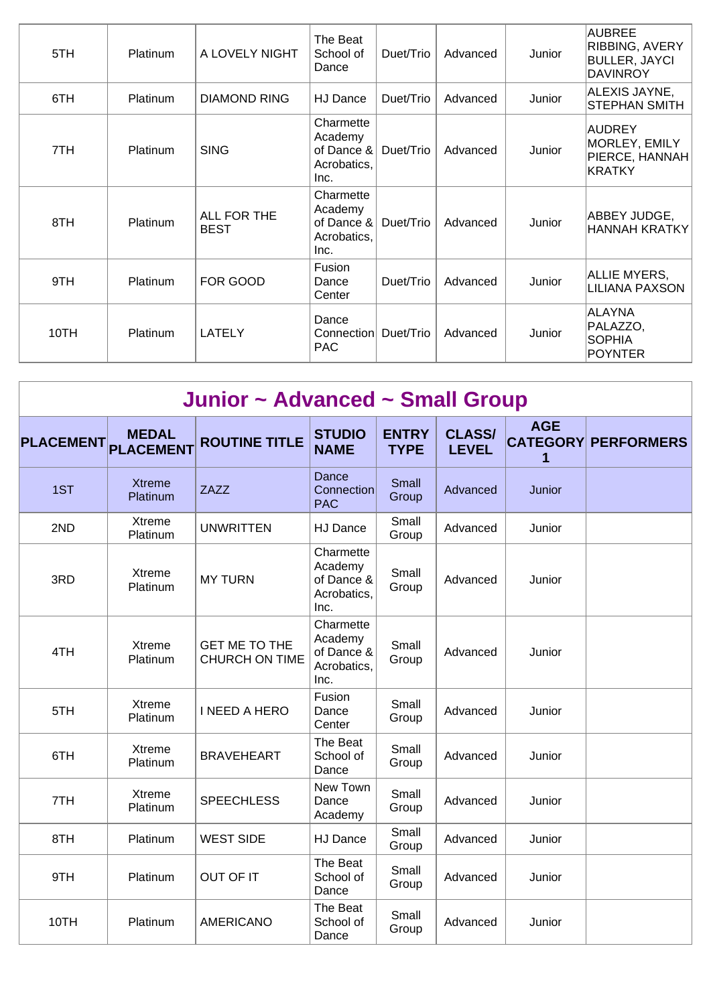| 5TH  | Platinum        | A LOVELY NIGHT             | The Beat<br>School of<br>Dance                               | Duet/Trio | Advanced | Junior | AUBREE<br>RIBBING, AVERY<br><b>BULLER, JAYCI</b><br>DAVINROY |
|------|-----------------|----------------------------|--------------------------------------------------------------|-----------|----------|--------|--------------------------------------------------------------|
| 6TH  | Platinum        | <b>DIAMOND RING</b>        | <b>HJ Dance</b>                                              | Duet/Trio | Advanced | Junior | ALEXIS JAYNE,<br><b>STEPHAN SMITH</b>                        |
| 7TH  | <b>Platinum</b> | <b>SING</b>                | Charmette<br>Academy<br>of Dance $\&$<br>Acrobatics,<br>Inc. | Duet/Trio | Advanced | Junior | AUDREY<br>MORLEY, EMILY<br>PIERCE, HANNAH<br><b>KRATKY</b>   |
| 8TH  | Platinum        | ALL FOR THE<br><b>BEST</b> | Charmette<br>Academy<br>of Dance $&$<br>Acrobatics,<br>Inc.  | Duet/Trio | Advanced | Junior | ABBEY JUDGE,<br><b>HANNAH KRATKY</b>                         |
| 9TH  | Platinum        | FOR GOOD                   | Fusion<br>Dance<br>Center                                    | Duet/Trio | Advanced | Junior | ALLIE MYERS,<br><b>LILIANA PAXSON</b>                        |
| 10TH | <b>Platinum</b> | LATELY                     | Dance<br>Connection<br><b>PAC</b>                            | Duet/Trio | Advanced | Junior | ALAYNA<br>PALAZZO,<br><b>SOPHIA</b><br><b>POYNTER</b>        |

|                  | Junior ~ Advanced ~ Small Group  |                                               |                                                           |                             |                               |                 |                            |  |  |  |  |  |
|------------------|----------------------------------|-----------------------------------------------|-----------------------------------------------------------|-----------------------------|-------------------------------|-----------------|----------------------------|--|--|--|--|--|
| <b>PLACEMENT</b> | <b>MEDAL</b><br><b>PLACEMENT</b> | <b>ROUTINE TITLE</b>                          | <b>STUDIO</b><br><b>NAME</b>                              | <b>ENTRY</b><br><b>TYPE</b> | <b>CLASS/</b><br><b>LEVEL</b> | <b>AGE</b><br>1 | <b>CATEGORY PERFORMERS</b> |  |  |  |  |  |
| 1ST              | <b>Xtreme</b><br>Platinum        | ZAZZ                                          | Dance<br>Connection<br><b>PAC</b>                         | Small<br>Group              | Advanced                      | Junior          |                            |  |  |  |  |  |
| 2ND              | <b>Xtreme</b><br>Platinum        | <b>UNWRITTEN</b>                              | HJ Dance                                                  | Small<br>Group              | Advanced                      | Junior          |                            |  |  |  |  |  |
| 3RD              | Xtreme<br>Platinum               | <b>MY TURN</b>                                | Charmette<br>Academy<br>of Dance &<br>Acrobatics,<br>Inc. | Small<br>Group              | Advanced                      | Junior          |                            |  |  |  |  |  |
| 4TH              | Xtreme<br>Platinum               | <b>GET ME TO THE</b><br><b>CHURCH ON TIME</b> | Charmette<br>Academy<br>of Dance &<br>Acrobatics,<br>Inc. | Small<br>Group              | Advanced                      | Junior          |                            |  |  |  |  |  |
| 5TH              | Xtreme<br>Platinum               | <b>I NEED A HERO</b>                          | Fusion<br>Dance<br>Center                                 | Small<br>Group              | Advanced                      | Junior          |                            |  |  |  |  |  |
| 6TH              | Xtreme<br>Platinum               | <b>BRAVEHEART</b>                             | The Beat<br>School of<br>Dance                            | Small<br>Group              | Advanced                      | Junior          |                            |  |  |  |  |  |
| 7TH              | Xtreme<br>Platinum               | <b>SPEECHLESS</b>                             | New Town<br>Dance<br>Academy                              | Small<br>Group              | Advanced                      | Junior          |                            |  |  |  |  |  |
| 8TH              | Platinum                         | <b>WEST SIDE</b>                              | <b>HJ Dance</b>                                           | Small<br>Group              | Advanced                      | Junior          |                            |  |  |  |  |  |
| 9TH              | Platinum                         | OUT OF IT                                     | The Beat<br>School of<br>Dance                            | Small<br>Group              | Advanced                      | Junior          |                            |  |  |  |  |  |
| 10TH             | Platinum                         | <b>AMERICANO</b>                              | The Beat<br>School of<br>Dance                            | Small<br>Group              | Advanced                      | Junior          |                            |  |  |  |  |  |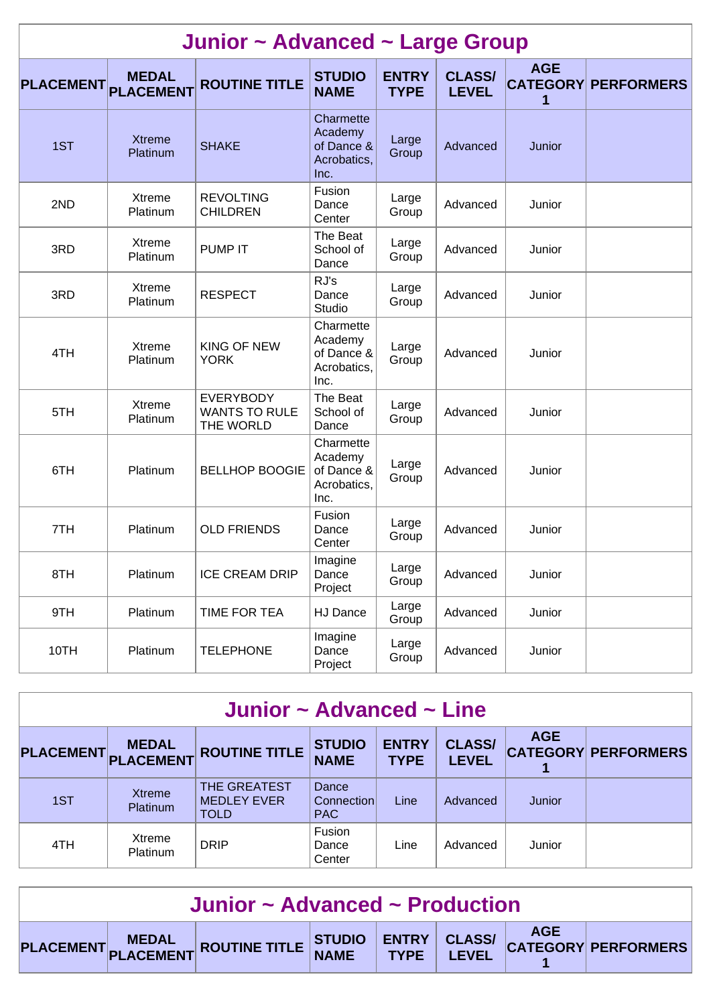|                  | Junior ~ Advanced ~ Large Group  |                                                       |                                                           |                             |                               |                 |                            |  |  |  |  |  |
|------------------|----------------------------------|-------------------------------------------------------|-----------------------------------------------------------|-----------------------------|-------------------------------|-----------------|----------------------------|--|--|--|--|--|
| <b>PLACEMENT</b> | <b>MEDAL</b><br><b>PLACEMENT</b> | <b>ROUTINE TITLE</b>                                  | <b>STUDIO</b><br><b>NAME</b>                              | <b>ENTRY</b><br><b>TYPE</b> | <b>CLASS/</b><br><b>LEVEL</b> | <b>AGE</b><br>1 | <b>CATEGORY PERFORMERS</b> |  |  |  |  |  |
| 1ST              | <b>Xtreme</b><br>Platinum        | <b>SHAKE</b>                                          | Charmette<br>Academy<br>of Dance &<br>Acrobatics,<br>Inc. | Large<br>Group              | Advanced                      | Junior          |                            |  |  |  |  |  |
| 2ND              | Xtreme<br>Platinum               | <b>REVOLTING</b><br><b>CHILDREN</b>                   | Fusion<br>Dance<br>Center                                 | Large<br>Group              | Advanced                      | Junior          |                            |  |  |  |  |  |
| 3RD              | Xtreme<br>Platinum               | <b>PUMP IT</b>                                        | The Beat<br>School of<br>Dance                            | Large<br>Group              | Advanced                      | Junior          |                            |  |  |  |  |  |
| 3RD              | Xtreme<br>Platinum               | <b>RESPECT</b>                                        | RJ's<br>Dance<br>Studio                                   | Large<br>Group              | Advanced                      | Junior          |                            |  |  |  |  |  |
| 4TH              | Xtreme<br>Platinum               | <b>KING OF NEW</b><br><b>YORK</b>                     | Charmette<br>Academy<br>of Dance &<br>Acrobatics,<br>Inc. | Large<br>Group              | Advanced                      | Junior          |                            |  |  |  |  |  |
| 5TH              | Xtreme<br>Platinum               | <b>EVERYBODY</b><br><b>WANTS TO RULE</b><br>THE WORLD | The Beat<br>School of<br>Dance                            | Large<br>Group              | Advanced                      | Junior          |                            |  |  |  |  |  |
| 6TH              | Platinum                         | <b>BELLHOP BOOGIE</b>                                 | Charmette<br>Academy<br>of Dance &<br>Acrobatics,<br>Inc. | Large<br>Group              | Advanced                      | Junior          |                            |  |  |  |  |  |
| 7TH              | Platinum                         | <b>OLD FRIENDS</b>                                    | Fusion<br>Dance<br>Center                                 | Large<br>Group              | Advanced                      | Junior          |                            |  |  |  |  |  |
| 8TH              | Platinum                         | <b>ICE CREAM DRIP</b>                                 | Imagine<br>Dance<br>Project                               | Large<br>Group              | Advanced                      | Junior          |                            |  |  |  |  |  |
| 9TH              | Platinum                         | TIME FOR TEA                                          | HJ Dance                                                  | Large<br>Group              | Advanced                      | Junior          |                            |  |  |  |  |  |
| 10TH             | Platinum                         | <b>TELEPHONE</b>                                      | Imagine<br>Dance<br>Project                               | Large<br>Group              | Advanced                      | Junior          |                            |  |  |  |  |  |

| Junior $\sim$ Advanced $\sim$ Line |                                  |                                                   |                                   |                             |                               |            |                            |  |  |
|------------------------------------|----------------------------------|---------------------------------------------------|-----------------------------------|-----------------------------|-------------------------------|------------|----------------------------|--|--|
| <b>PLACEMENT</b>                   | <b>MEDAL</b><br><b>PLACEMENT</b> | <b>ROUTINE TITLE</b>                              | <b>STUDIO</b><br><b>NAME</b>      | <b>ENTRY</b><br><b>TYPE</b> | <b>CLASS/</b><br><b>LEVEL</b> | <b>AGE</b> | <b>CATEGORY PERFORMERS</b> |  |  |
| 1ST                                | <b>Xtreme</b><br><b>Platinum</b> | THE GREATEST<br><b>MEDLEY EVER</b><br><b>TOLD</b> | Dance<br>Connection<br><b>PAC</b> | Line                        | Advanced                      | Junior     |                            |  |  |
| 4TH                                | Xtreme<br>Platinum               | <b>DRIP</b>                                       | Fusion<br>Dance<br>Center         | Line                        | Advanced                      | Junior     |                            |  |  |

| Junior $\sim$ Advanced $\sim$ Production |  |                                                                      |  |  |  |  |  |  |
|------------------------------------------|--|----------------------------------------------------------------------|--|--|--|--|--|--|
|                                          |  | PLACEMENT MEDAL ROUTINE TITLE STUDIO ENTRY CLASS/ AGE AGE PERFORMERS |  |  |  |  |  |  |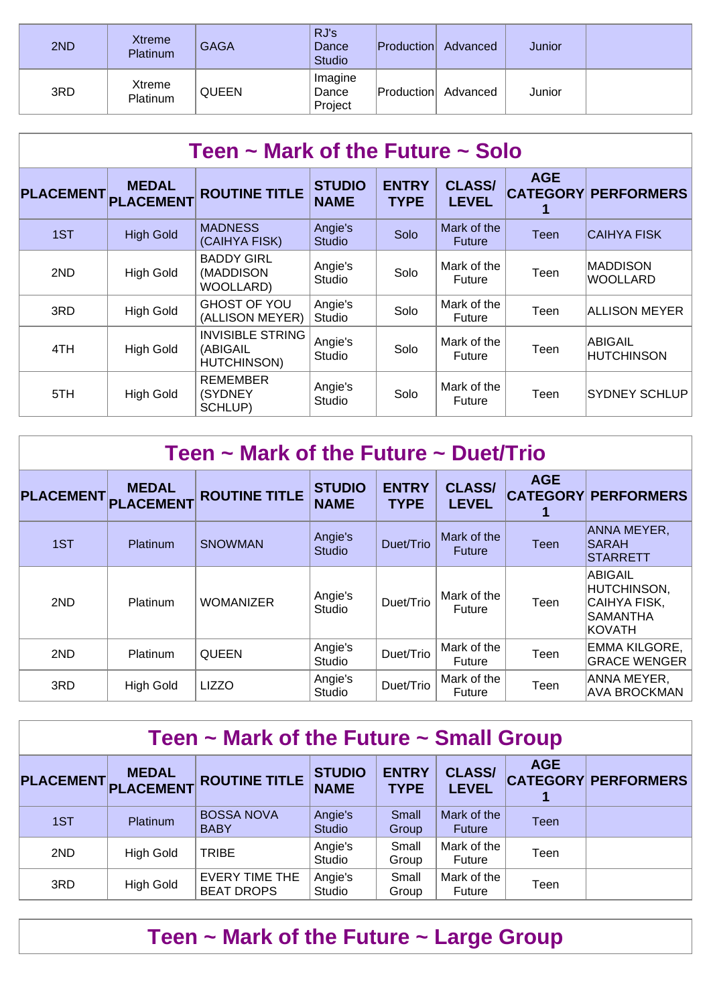| 2ND | Xtreme<br>Platinum        | <b>GAGA</b>  | RJ's<br>Dance<br><b>Studio</b> | <b>Production</b> | Advanced | Junior |  |
|-----|---------------------------|--------------|--------------------------------|-------------------|----------|--------|--|
| 3RD | Xtreme<br><b>Platinum</b> | <b>QUEEN</b> | Imagine<br>Dance<br>Project    | <b>Production</b> | Advanced | Junior |  |

| Teen $\sim$ Mark of the Future $\sim$ Solo |                                  |                                                    |                              |                             |                               |            |                            |  |  |  |
|--------------------------------------------|----------------------------------|----------------------------------------------------|------------------------------|-----------------------------|-------------------------------|------------|----------------------------|--|--|--|
| <b>PLACEMENT</b>                           | <b>MEDAL</b><br><b>PLACEMENT</b> | <b>ROUTINE TITLE</b>                               | <b>STUDIO</b><br><b>NAME</b> | <b>ENTRY</b><br><b>TYPE</b> | <b>CLASS/</b><br><b>LEVEL</b> | <b>AGE</b> | <b>CATEGORY PERFORMERS</b> |  |  |  |
| 1ST                                        | <b>High Gold</b>                 | <b>MADNESS</b><br>(CAIHYA FISK)                    | Angie's<br><b>Studio</b>     | Solo                        | Mark of the<br><b>Future</b>  | Teen       | <b>CAIHYA FISK</b>         |  |  |  |
| 2ND                                        | <b>High Gold</b>                 | <b>BADDY GIRL</b><br>(MADDISON<br>WOOLLARD)        | Angie's<br>Studio            | Solo                        | Mark of the<br>Future         | Teen       | MADDISON<br> WOOLLARD      |  |  |  |
| 3RD                                        | <b>High Gold</b>                 | <b>GHOST OF YOU</b><br>(ALLISON MEYER)             | Angie's<br>Studio            | Solo                        | Mark of the<br>Future         | Teen       | ALLISON MEYER              |  |  |  |
| 4TH                                        | <b>High Gold</b>                 | <b>INVISIBLE STRING</b><br>(ABIGAIL<br>HUTCHINSON) | Angie's<br>Studio            | Solo                        | Mark of the<br><b>Future</b>  | Teen       | ABIGAIL<br>HUTCHINSON      |  |  |  |
| 5TH                                        | <b>High Gold</b>                 | <b>REMEMBER</b><br>(SYDNEY<br>SCHLUP)              | Angie's<br>Studio            | Solo                        | Mark of the<br>Future         | Teen       | <b>SYDNEY SCHLUP</b>       |  |  |  |

| Teen $\sim$ Mark of the Future $\sim$ Duet/Trio |                                  |                      |                              |                             |                               |            |                                                                      |  |  |  |
|-------------------------------------------------|----------------------------------|----------------------|------------------------------|-----------------------------|-------------------------------|------------|----------------------------------------------------------------------|--|--|--|
| <b>PLACEMENT</b>                                | <b>MEDAL</b><br><b>PLACEMENT</b> | <b>ROUTINE TITLE</b> | <b>STUDIO</b><br><b>NAME</b> | <b>ENTRY</b><br><b>TYPE</b> | <b>CLASS/</b><br><b>LEVEL</b> | <b>AGE</b> | <b>CATEGORY PERFORMERS</b>                                           |  |  |  |
| 1ST                                             | Platinum                         | <b>SNOWMAN</b>       | Angie's<br><b>Studio</b>     | Duet/Trio                   | Mark of the<br><b>Future</b>  | Teen       | ANNA MEYER,<br><b>ISARAH</b><br>ISTARRETT                            |  |  |  |
| 2ND                                             | Platinum                         | <b>WOMANIZER</b>     | Angie's<br>Studio            | Duet/Trio                   | Mark of the<br><b>Future</b>  | Teen       | ABIGAIL<br>HUTCHINSON,<br>CAIHYA FISK,<br><b>SAMANTHA</b><br>IKOVATH |  |  |  |
| 2ND                                             | Platinum                         | <b>QUEEN</b>         | Angie's<br>Studio            | Duet/Trio                   | Mark of the<br>Future         | Teen       | EMMA KILGORE,<br><b>GRACE WENGER</b>                                 |  |  |  |
| 3RD                                             | <b>High Gold</b>                 | <b>LIZZO</b>         | Angie's<br>Studio            | Duet/Trio                   | Mark of the<br><b>Future</b>  | Teen       | ANNA MEYER,<br><b>AVA BROCKMAN</b>                                   |  |  |  |

# **Teen ~ Mark of the Future ~ Small Group**

|     | <b>MEDAL</b>     | PLACEMENT PLACEMENT ROUTINE TITLE   | <b>STUDIO</b><br><b>NAME</b> | <b>ENTRY</b><br><b>TYPE</b> | <b>CLASS/</b><br><b>LEVEL</b> | <b>AGE</b> | <b>CATEGORY PERFORMERS</b> |
|-----|------------------|-------------------------------------|------------------------------|-----------------------------|-------------------------------|------------|----------------------------|
| 1ST | Platinum         | <b>BOSSA NOVA</b><br><b>BABY</b>    | Angie's<br><b>Studio</b>     | Small<br>Group              | Mark of the<br><b>Future</b>  | Teen       |                            |
| 2ND | <b>High Gold</b> | <b>TRIBE</b>                        | Angie's<br>Studio            | Small<br>Group              | Mark of the<br><b>Future</b>  | Teen       |                            |
| 3RD | <b>High Gold</b> | EVERY TIME THE<br><b>BEAT DROPS</b> | Angie's<br>Studio            | Small<br>Group              | Mark of the<br><b>Future</b>  | Teen       |                            |

### **Teen ~ Mark of the Future ~ Large Group**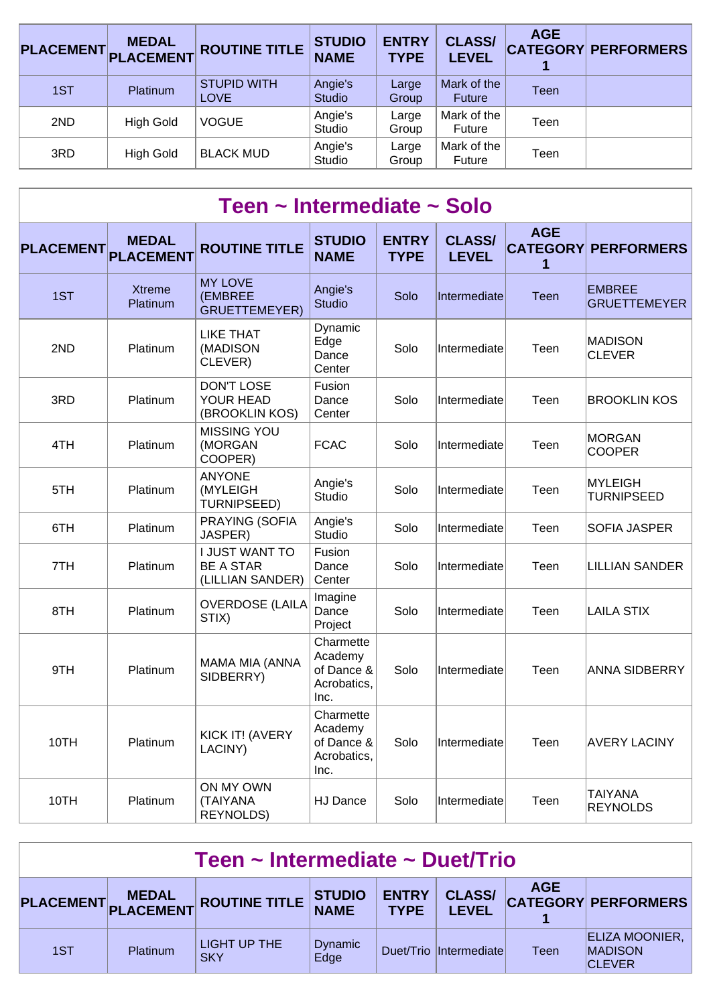|     | <b>MEDAL</b><br>PLACEMENT PLACEMENT | <b>ROUTINE TITLE</b>              | <b>STUDIO</b><br><b>NAME</b> | <b>ENTRY</b><br><b>TYPE</b> | <b>CLASS/</b><br><b>LEVEL</b> | <b>AGE</b> | <b>CATEGORY PERFORMERS</b> |
|-----|-------------------------------------|-----------------------------------|------------------------------|-----------------------------|-------------------------------|------------|----------------------------|
| 1ST | Platinum                            | <b>STUPID WITH</b><br><b>LOVE</b> | Angie's<br><b>Studio</b>     | Large<br>Group              | Mark of the<br><b>Future</b>  | Teen       |                            |
| 2ND | <b>High Gold</b>                    | <b>VOGUE</b>                      | Angie's<br>Studio            | Large<br>Group              | Mark of the<br>Future         | Teen       |                            |
| 3RD | <b>High Gold</b>                    | <b>BLACK MUD</b>                  | Angie's<br>Studio            | Large<br>Group              | Mark of the<br>Future         | Teen       |                            |

|                  | Teen ~ Intermediate ~ Solo       |                                                               |                                                           |                             |                               |                 |                                      |  |  |  |  |  |
|------------------|----------------------------------|---------------------------------------------------------------|-----------------------------------------------------------|-----------------------------|-------------------------------|-----------------|--------------------------------------|--|--|--|--|--|
| <b>PLACEMENT</b> | <b>MEDAL</b><br><b>PLACEMENT</b> | <b>ROUTINE TITLE</b>                                          | <b>STUDIO</b><br><b>NAME</b>                              | <b>ENTRY</b><br><b>TYPE</b> | <b>CLASS/</b><br><b>LEVEL</b> | <b>AGE</b><br>1 | <b>CATEGORY PERFORMERS</b>           |  |  |  |  |  |
| 1ST              | <b>Xtreme</b><br>Platinum        | <b>MY LOVE</b><br>(EMBREE<br><b>GRUETTEMEYER)</b>             | Angie's<br><b>Studio</b>                                  | Solo                        | Intermediate                  | <b>Teen</b>     | <b>EMBREE</b><br><b>GRUETTEMEYER</b> |  |  |  |  |  |
| 2ND              | Platinum                         | <b>LIKE THAT</b><br>(MADISON<br>CLEVER)                       | Dynamic<br>Edge<br>Dance<br>Center                        | Solo                        | Intermediate                  | Teen            | <b>MADISON</b><br><b>CLEVER</b>      |  |  |  |  |  |
| 3RD              | Platinum                         | <b>DON'T LOSE</b><br>YOUR HEAD<br>(BROOKLIN KOS)              | Fusion<br>Dance<br>Center                                 | Solo                        | Intermediate                  | Teen            | <b>BROOKLIN KOS</b>                  |  |  |  |  |  |
| 4TH              | Platinum                         | <b>MISSING YOU</b><br>(MORGAN<br>COOPER)                      | <b>FCAC</b>                                               | Solo                        | Intermediate                  | Teen            | <b>MORGAN</b><br><b>COOPER</b>       |  |  |  |  |  |
| 5TH              | Platinum                         | <b>ANYONE</b><br>(MYLEIGH<br><b>TURNIPSEED)</b>               | Angie's<br>Studio                                         | Solo                        | Intermediate                  | Teen            | <b>MYLEIGH</b><br><b>TURNIPSEED</b>  |  |  |  |  |  |
| 6TH              | Platinum                         | PRAYING (SOFIA<br>JASPER)                                     | Angie's<br>Studio                                         | Solo                        | Intermediate                  | Teen            | <b>SOFIA JASPER</b>                  |  |  |  |  |  |
| 7TH              | Platinum                         | <b>I JUST WANT TO</b><br><b>BE A STAR</b><br>(LILLIAN SANDER) | Fusion<br>Dance<br>Center                                 | Solo                        | Intermediate                  | Teen            | <b>LILLIAN SANDER</b>                |  |  |  |  |  |
| 8TH              | Platinum                         | <b>OVERDOSE (LAILA</b><br>STIX)                               | Imagine<br>Dance<br>Project                               | Solo                        | Intermediate                  | Teen            | <b>LAILA STIX</b>                    |  |  |  |  |  |
| 9TH              | Platinum                         | MAMA MIA (ANNA<br>SIDBERRY)                                   | Charmette<br>Academy<br>of Dance &<br>Acrobatics,<br>Inc. | Solo                        | Intermediate                  | Teen            | <b>ANNA SIDBERRY</b>                 |  |  |  |  |  |
| 10TH             | Platinum                         | KICK IT! (AVERY<br>LACINY)                                    | Charmette<br>Academy<br>of Dance &<br>Acrobatics,<br>Inc. | Solo                        | Intermediate                  | Teen            | <b>AVERY LACINY</b>                  |  |  |  |  |  |
| 10TH             | Platinum                         | ON MY OWN<br>(TAIYANA<br>REYNOLDS)                            | HJ Dance                                                  | Solo                        | Intermediate                  | Teen            | TAIYANA<br><b>REYNOLDS</b>           |  |  |  |  |  |

| Teen ~ Intermediate ~ Duet/Trio |                 |                                      |                        |                             |                               |            |                                                          |  |  |
|---------------------------------|-----------------|--------------------------------------|------------------------|-----------------------------|-------------------------------|------------|----------------------------------------------------------|--|--|
|                                 |                 | PLACEMENT MEDAL ROUTINE TITLE STUDIO |                        | <b>ENTRY</b><br><b>TYPE</b> | <b>CLASS/</b><br><b>LEVEL</b> | <b>AGE</b> | <b>CATEGORY PERFORMERS</b>                               |  |  |
| 1ST                             | <b>Platinum</b> | LIGHT UP THE<br><b>SKY</b>           | <b>Dynamic</b><br>Edge |                             | Duet/Trio  Intermediate       | Teen       | <b>ELIZA MOONIER,</b><br><b>MADISON</b><br><b>CLEVER</b> |  |  |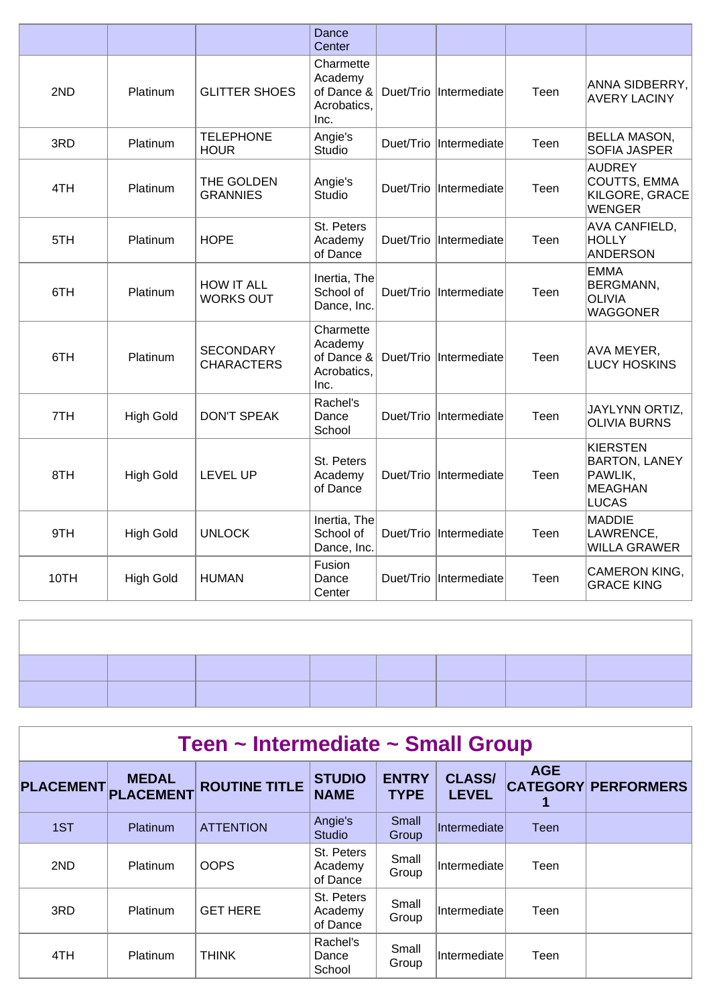|      |                  |                                       | <b>Dance</b><br>Center                                    |           |              |      |                                                                                      |
|------|------------------|---------------------------------------|-----------------------------------------------------------|-----------|--------------|------|--------------------------------------------------------------------------------------|
| 2ND  | Platinum         | <b>GLITTER SHOES</b>                  | Charmette<br>Academy<br>of Dance &<br>Acrobatics,<br>Inc. | Duet/Trio | Intermediate | Teen | ANNA SIDBERRY,<br><b>AVERY LACINY</b>                                                |
| 3RD  | Platinum         | <b>TELEPHONE</b><br><b>HOUR</b>       | Angie's<br><b>Studio</b>                                  | Duet/Trio | Intermediate | Teen | <b>BELLA MASON,</b><br><b>SOFIA JASPER</b>                                           |
| 4TH  | Platinum         | THE GOLDEN<br><b>GRANNIES</b>         | Angie's<br>Studio                                         | Duet/Trio | Intermediate | Teen | <b>AUDREY</b><br>COUTTS, EMMA<br>KILGORE, GRACE<br><b>WENGER</b>                     |
| 5TH  | Platinum         | <b>HOPE</b>                           | St. Peters<br>Academy<br>of Dance                         | Duet/Trio | Intermediate | Teen | AVA CANFIELD,<br><b>HOLLY</b><br><b>ANDERSON</b>                                     |
| 6TH  | Platinum         | <b>HOW IT ALL</b><br><b>WORKS OUT</b> | Inertia, The<br>School of<br>Dance, Inc.                  | Duet/Trio | Intermediate | Teen | <b>EMMA</b><br><b>BERGMANN,</b><br><b>OLIVIA</b><br><b>WAGGONER</b>                  |
| 6TH  | Platinum         | <b>SECONDARY</b><br><b>CHARACTERS</b> | Charmette<br>Academy<br>of Dance &<br>Acrobatics,<br>Inc. | Duet/Trio | Intermediate | Teen | AVA MEYER,<br><b>LUCY HOSKINS</b>                                                    |
| 7TH  | <b>High Gold</b> | <b>DON'T SPEAK</b>                    | Rachel's<br>Dance<br>School                               | Duet/Trio | Intermediate | Teen | JAYLYNN ORTIZ,<br><b>OLIVIA BURNS</b>                                                |
| 8TH  | <b>High Gold</b> | <b>LEVEL UP</b>                       | St. Peters<br>Academy<br>of Dance                         | Duet/Trio | Intermediate | Teen | <b>KIERSTEN</b><br><b>BARTON, LANEY</b><br>PAWLIK,<br><b>MEAGHAN</b><br><b>LUCAS</b> |
| 9TH  | <b>High Gold</b> | <b>UNLOCK</b>                         | Inertia, The<br>School of<br>Dance, Inc.                  | Duet/Trio | Intermediate | Teen | <b>MADDIE</b><br>LAWRENCE,<br><b>WILLA GRAWER</b>                                    |
| 10TH | <b>High Gold</b> | <b>HUMAN</b>                          | Fusion<br>Dance<br>Center                                 | Duet/Trio | Intermediate | Teen | CAMERON KING,<br><b>GRACE KING</b>                                                   |

| Teen ~ Intermediate ~ Small Group |                                  |                      |                                   |                             |                               |            |                            |  |  |  |  |
|-----------------------------------|----------------------------------|----------------------|-----------------------------------|-----------------------------|-------------------------------|------------|----------------------------|--|--|--|--|
| <b>PLACEMENT</b>                  | <b>MEDAL</b><br><b>PLACEMENT</b> | <b>ROUTINE TITLE</b> | <b>STUDIO</b><br><b>NAME</b>      | <b>ENTRY</b><br><b>TYPE</b> | <b>CLASS/</b><br><b>LEVEL</b> | <b>AGE</b> | <b>CATEGORY PERFORMERS</b> |  |  |  |  |
| 1ST                               | Platinum                         | <b>ATTENTION</b>     | Angie's<br><b>Studio</b>          | Small<br>Group              | Intermediate                  | Teen       |                            |  |  |  |  |
| 2ND                               | <b>Platinum</b>                  | <b>OOPS</b>          | St. Peters<br>Academy<br>of Dance | Small<br>Group              | Intermediate                  | Teen       |                            |  |  |  |  |
| 3RD                               | Platinum                         | <b>GET HERE</b>      | St. Peters<br>Academy<br>of Dance | Small<br>Group              | Intermediate                  | Teen       |                            |  |  |  |  |
| 4TH                               | Platinum                         | <b>THINK</b>         | Rachel's<br>Dance<br>School       | Small<br>Group              | Intermediate                  | Teen       |                            |  |  |  |  |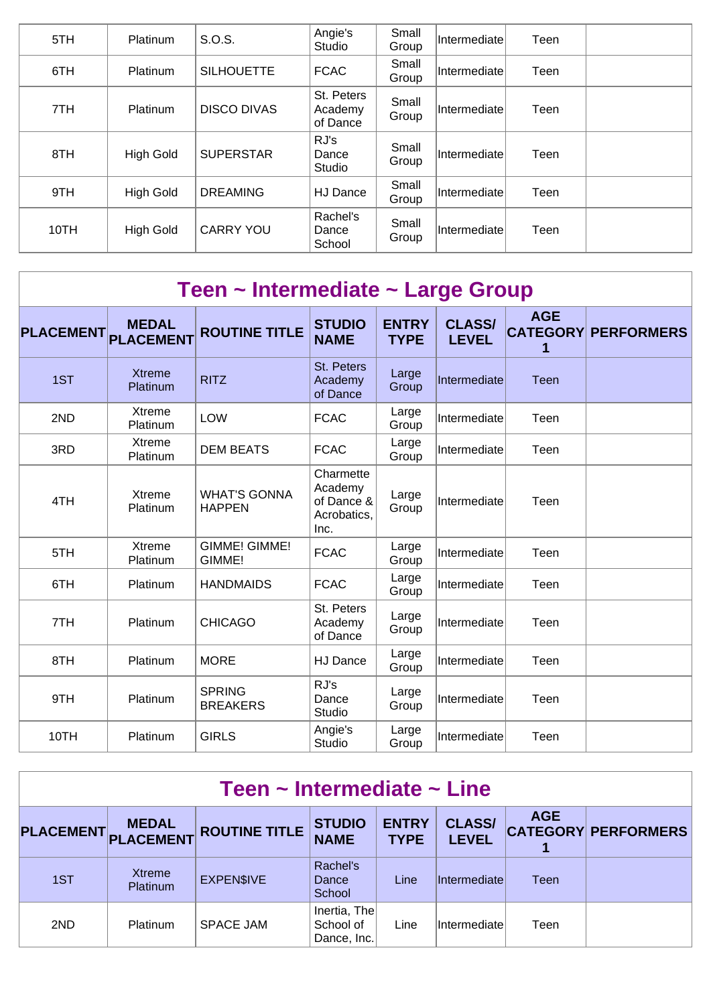| 5TH  | <b>Platinum</b>  | S.O.S.             | Angie's<br>Studio                 | Small<br>Group | Intermediate  | Teen |  |
|------|------------------|--------------------|-----------------------------------|----------------|---------------|------|--|
| 6TH  | <b>Platinum</b>  | <b>SILHOUETTE</b>  | <b>FCAC</b>                       | Small<br>Group | Intermediate  | Teen |  |
| 7TH  | <b>Platinum</b>  | <b>DISCO DIVAS</b> | St. Peters<br>Academy<br>of Dance | Small<br>Group | Intermediate  | Teen |  |
| 8TH  | <b>High Gold</b> | <b>SUPERSTAR</b>   | RJ's<br>Dance<br>Studio           | Small<br>Group | Intermediate  | Teen |  |
| 9TH  | <b>High Gold</b> | <b>DREAMING</b>    | HJ Dance                          | Small<br>Group | Intermediatel | Teen |  |
| 10TH | <b>High Gold</b> | <b>CARRY YOU</b>   | Rachel's<br>Dance<br>School       | Small<br>Group | Intermediate  | Teen |  |

| Teen ~ Intermediate ~ Large Group |                                  |                                      |                                                           |                             |                               |                 |                            |  |  |  |  |
|-----------------------------------|----------------------------------|--------------------------------------|-----------------------------------------------------------|-----------------------------|-------------------------------|-----------------|----------------------------|--|--|--|--|
| <b>PLACEMENT</b>                  | <b>MEDAL</b><br><b>PLACEMENT</b> | <b>ROUTINE TITLE</b>                 | <b>STUDIO</b><br><b>NAME</b>                              | <b>ENTRY</b><br><b>TYPE</b> | <b>CLASS/</b><br><b>LEVEL</b> | <b>AGE</b><br>1 | <b>CATEGORY PERFORMERS</b> |  |  |  |  |
| 1ST                               | <b>Xtreme</b><br>Platinum        | <b>RITZ</b>                          | St. Peters<br>Academy<br>of Dance                         | Large<br>Group              | Intermediate                  | <b>Teen</b>     |                            |  |  |  |  |
| 2ND                               | Xtreme<br>Platinum               | LOW                                  | <b>FCAC</b>                                               | Large<br>Group              | Intermediate                  | Teen            |                            |  |  |  |  |
| 3RD                               | Xtreme<br>Platinum               | <b>DEM BEATS</b>                     | <b>FCAC</b>                                               | Large<br>Group              | Intermediate                  | Teen            |                            |  |  |  |  |
| 4TH                               | Xtreme<br>Platinum               | <b>WHAT'S GONNA</b><br><b>HAPPEN</b> | Charmette<br>Academy<br>of Dance &<br>Acrobatics,<br>Inc. | Large<br>Group              | Intermediate                  | Teen            |                            |  |  |  |  |
| 5TH                               | <b>Xtreme</b><br>Platinum        | <b>GIMME! GIMME!</b><br>GIMME!       | <b>FCAC</b>                                               | Large<br>Group              | Intermediate                  | Teen            |                            |  |  |  |  |
| 6TH                               | Platinum                         | <b>HANDMAIDS</b>                     | <b>FCAC</b>                                               | Large<br>Group              | Intermediate                  | Teen            |                            |  |  |  |  |
| 7TH                               | Platinum                         | <b>CHICAGO</b>                       | St. Peters<br>Academy<br>of Dance                         | Large<br>Group              | Intermediate                  | Teen            |                            |  |  |  |  |
| 8TH                               | Platinum                         | <b>MORE</b>                          | HJ Dance                                                  | Large<br>Group              | Intermediate                  | Teen            |                            |  |  |  |  |
| 9TH                               | Platinum                         | <b>SPRING</b><br><b>BREAKERS</b>     | RJ's<br>Dance<br>Studio                                   | Large<br>Group              | Intermediate                  | Teen            |                            |  |  |  |  |
| 10TH                              | Platinum                         | <b>GIRLS</b>                         | Angie's<br>Studio                                         | Large<br>Group              | Intermediate                  | Teen            |                            |  |  |  |  |

|            | Teen $\sim$ Intermediate $\sim$ Line |                      |                                          |                             |                               |            |                            |  |  |  |
|------------|--------------------------------------|----------------------|------------------------------------------|-----------------------------|-------------------------------|------------|----------------------------|--|--|--|
| PLACEMENT. | MEDAL<br>PLACEMENT                   | <b>ROUTINE TITLE</b> | <b>STUDIO</b><br><b>NAME</b>             | <b>ENTRY</b><br><b>TYPE</b> | <b>CLASS/</b><br><b>LEVEL</b> | <b>AGE</b> | <b>CATEGORY PERFORMERS</b> |  |  |  |
| 1ST        | <b>Xtreme</b><br>Platinum            | <b>EXPENSIVE</b>     | Rachel's<br>Dance<br>School              | Line                        | <i>Intermediate</i>           | Teen       |                            |  |  |  |
| 2ND        | <b>Platinum</b>                      | <b>SPACE JAM</b>     | Inertia, The<br>School of<br>Dance, Inc. | Line                        | Intermediate                  | Teen       |                            |  |  |  |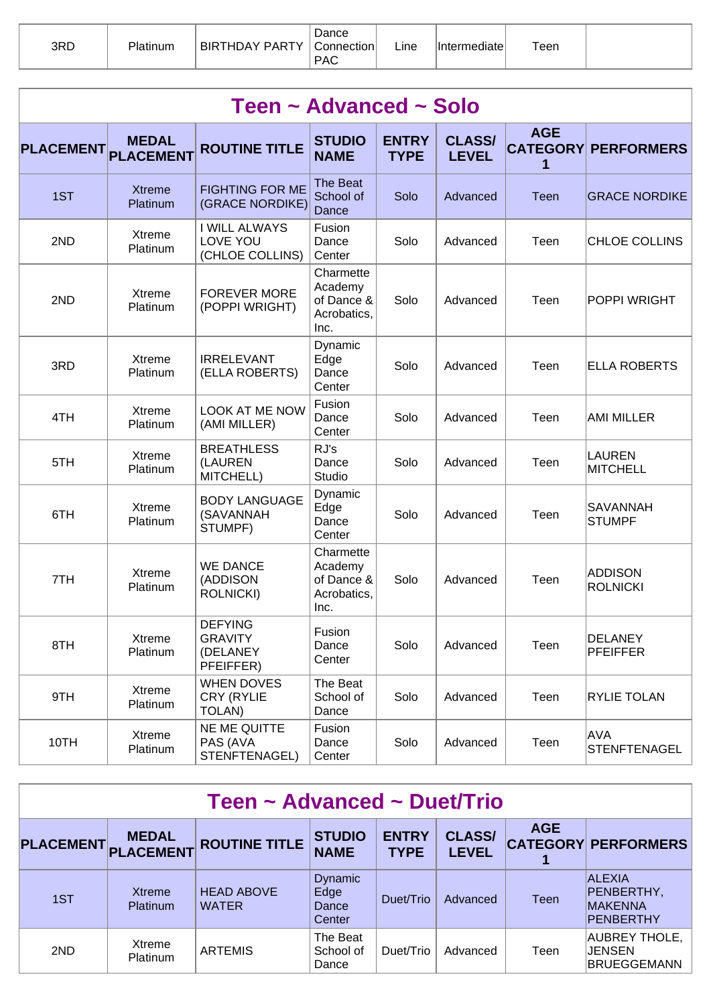| 3RD | <b>Platinum</b> | <b>BIRTHDAY PARTY</b> | Dance<br>ا Connection<br><b>PAC</b> | Line | ⊞ntermediate | Teen |  |
|-----|-----------------|-----------------------|-------------------------------------|------|--------------|------|--|
|-----|-----------------|-----------------------|-------------------------------------|------|--------------|------|--|

| Teen ~ Advanced ~ Solo |                                  |                                                           |                                                           |                             |                               |                 |                                   |  |  |  |  |
|------------------------|----------------------------------|-----------------------------------------------------------|-----------------------------------------------------------|-----------------------------|-------------------------------|-----------------|-----------------------------------|--|--|--|--|
| <b>PLACEMENT</b>       | <b>MEDAL</b><br><b>PLACEMENT</b> | <b>ROUTINE TITLE</b>                                      | <b>STUDIO</b><br><b>NAME</b>                              | <b>ENTRY</b><br><b>TYPE</b> | <b>CLASS/</b><br><b>LEVEL</b> | <b>AGE</b><br>1 | <b>CATEGORY PERFORMERS</b>        |  |  |  |  |
| 1ST                    | <b>Xtreme</b><br>Platinum        | <b>FIGHTING FOR ME</b><br>(GRACE NORDIKE)                 | The Beat<br>School of<br>Dance                            | Solo                        | Advanced                      | Teen            | <b>GRACE NORDIKE</b>              |  |  |  |  |
| 2ND                    | Xtreme<br>Platinum               | I WILL ALWAYS<br>LOVE YOU<br>(CHLOE COLLINS)              | Fusion<br>Dance<br>Center                                 | Solo                        | Advanced                      | Teen            | CHLOE COLLINS                     |  |  |  |  |
| 2ND                    | Xtreme<br>Platinum               | <b>FOREVER MORE</b><br>(POPPI WRIGHT)                     | Charmette<br>Academy<br>of Dance &<br>Acrobatics,<br>Inc. | Solo                        | Advanced                      | Teen            | POPPI WRIGHT                      |  |  |  |  |
| 3RD                    | Xtreme<br>Platinum               | <b>IRRELEVANT</b><br>(ELLA ROBERTS)                       | Dynamic<br>Edge<br>Dance<br>Center                        | Solo                        | Advanced                      | Teen            | <b>ELLA ROBERTS</b>               |  |  |  |  |
| 4TH                    | Xtreme<br>Platinum               | <b>LOOK AT ME NOW</b><br>(AMI MILLER)                     | Fusion<br>Dance<br>Center                                 | Solo                        | Advanced                      | Teen            | AMI MILLER                        |  |  |  |  |
| 5TH                    | Xtreme<br>Platinum               | <b>BREATHLESS</b><br>(LAUREN<br>MITCHELL)                 | RJ's<br>Dance<br>Studio                                   | Solo                        | Advanced                      | Teen            | LAUREN<br><b>MITCHELL</b>         |  |  |  |  |
| 6TH                    | Xtreme<br>Platinum               | <b>BODY LANGUAGE</b><br>(SAVANNAH<br>STUMPF)              | Dynamic<br>Edge<br>Dance<br>Center                        | Solo                        | Advanced                      | Teen            | SAVANNAH<br><b>STUMPF</b>         |  |  |  |  |
| 7TH                    | <b>Xtreme</b><br>Platinum        | <b>WE DANCE</b><br>(ADDISON<br><b>ROLNICKI)</b>           | Charmette<br>Academy<br>of Dance &<br>Acrobatics,<br>Inc. | Solo                        | Advanced                      | Teen            | <b>ADDISON</b><br><b>ROLNICKI</b> |  |  |  |  |
| 8TH                    | Xtreme<br>Platinum               | <b>DEFYING</b><br><b>GRAVITY</b><br>(DELANEY<br>PFEIFFER) | Fusion<br>Dance<br>Center                                 | Solo                        | Advanced                      | Teen            | DELANEY<br>PFEIFFER               |  |  |  |  |
| 9TH                    | Xtreme<br>Platinum               | <b>WHEN DOVES</b><br><b>CRY (RYLIE</b><br>TOLAN)          | The Beat<br>School of<br>Dance                            | Solo                        | Advanced                      | Teen            | <b>RYLIE TOLAN</b>                |  |  |  |  |
| 10TH                   | Xtreme<br>Platinum               | NE ME QUITTE<br>PAS (AVA<br>STENFTENAGEL)                 | Fusion<br>Dance<br>Center                                 | Solo                        | Advanced                      | Teen            | AVA<br><b>STENFTENAGEL</b>        |  |  |  |  |

|     | Teen ~ Advanced ~ Duet/Trio         |                                   |                                           |                             |                               |             |                                                                   |  |  |  |
|-----|-------------------------------------|-----------------------------------|-------------------------------------------|-----------------------------|-------------------------------|-------------|-------------------------------------------------------------------|--|--|--|
|     | <b>MEDAL</b><br>PLACEMENT PLACEMENT | <b>ROUTINE TITLE</b>              | <b>STUDIO</b><br><b>NAME</b>              | <b>ENTRY</b><br><b>TYPE</b> | <b>CLASS/</b><br><b>LEVEL</b> | <b>AGE</b>  | <b>CATEGORY PERFORMERS</b>                                        |  |  |  |
| 1ST | Xtreme<br>Platinum                  | <b>HEAD ABOVE</b><br><b>WATER</b> | <b>Dynamic</b><br>Edge<br>Dance<br>Center | Duet/Trio                   | Advanced                      | <b>Teen</b> | <b>ALEXIA</b><br>PENBERTHY,<br><b>MAKENNA</b><br><b>PENBERTHY</b> |  |  |  |
| 2ND | Xtreme<br>Platinum                  | <b>ARTEMIS</b>                    | The Beat<br>School of<br>Dance            | Duet/Trio                   | Advanced                      | Teen        | AUBREY THOLE,<br>∣JENSEN<br>BRUEGGEMANN                           |  |  |  |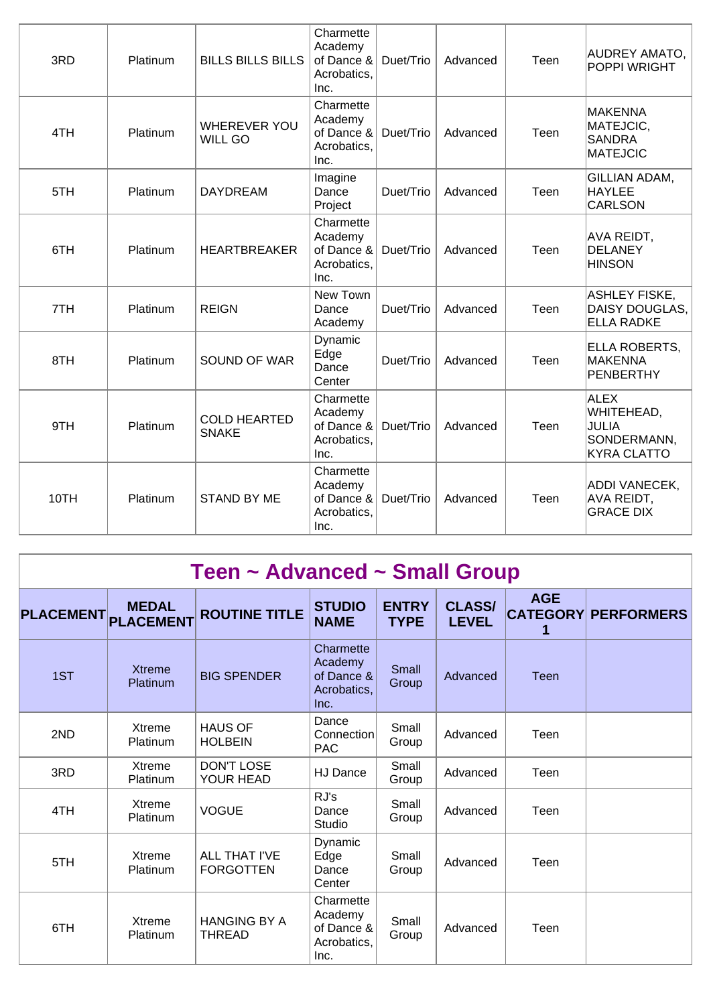| 3RD  | Platinum | <b>BILLS BILLS BILLS</b>              | Charmette<br>Academy<br>of Dance & Duet/Trio<br>Acrobatics,<br>Inc. |           | Advanced | Teen | AUDREY AMATO,<br>POPPI WRIGHT                                           |
|------|----------|---------------------------------------|---------------------------------------------------------------------|-----------|----------|------|-------------------------------------------------------------------------|
| 4TH  | Platinum | <b>WHEREVER YOU</b><br><b>WILL GO</b> | Charmette<br>Academy<br>of Dance &<br>Acrobatics,<br>Inc.           | Duet/Trio | Advanced | Teen | MAKENNA<br>MATEJCIC,<br><b>SANDRA</b><br><b>MATEJCIC</b>                |
| 5TH  | Platinum | <b>DAYDREAM</b>                       | Imagine<br>Dance<br>Project                                         | Duet/Trio | Advanced | Teen | GILLIAN ADAM,<br><b>HAYLEE</b><br><b>CARLSON</b>                        |
| 6TH  | Platinum | <b>HEARTBREAKER</b>                   | Charmette<br>Academy<br>of Dance $\&$<br>Acrobatics,<br>Inc.        | Duet/Trio | Advanced | Teen | AVA REIDT,<br>DELANEY<br><b>HINSON</b>                                  |
| 7TH  | Platinum | <b>REIGN</b>                          | New Town<br>Dance<br>Academy                                        | Duet/Trio | Advanced | Teen | <b>ASHLEY FISKE,</b><br>DAISY DOUGLAS,<br><b>ELLA RADKE</b>             |
| 8TH  | Platinum | SOUND OF WAR                          | Dynamic<br>Edge<br>Dance<br>Center                                  | Duet/Trio | Advanced | Teen | <b>ELLA ROBERTS,</b><br>MAKENNA<br>PENBERTHY                            |
| 9TH  | Platinum | <b>COLD HEARTED</b><br><b>SNAKE</b>   | Charmette<br>Academy<br>of Dance &<br>Acrobatics,<br>Inc.           | Duet/Trio | Advanced | Teen | <b>ALEX</b><br>WHITEHEAD,<br>JULIA<br>SONDERMANN,<br><b>KYRA CLATTO</b> |
| 10TH | Platinum | <b>STAND BY ME</b>                    | Charmette<br>Academy<br>of Dance &<br>Acrobatics,<br>Inc.           | Duet/Trio | Advanced | Teen | ADDI VANECEK,<br>AVA REIDT,<br><b>GRACE DIX</b>                         |

| Teen ~ Advanced ~ Small Group |                                  |                                          |                                                           |                             |                               |                                    |                   |  |  |  |  |
|-------------------------------|----------------------------------|------------------------------------------|-----------------------------------------------------------|-----------------------------|-------------------------------|------------------------------------|-------------------|--|--|--|--|
| <b>PLACEMENT</b>              | <b>MEDAL</b><br><b>PLACEMENT</b> | <b>ROUTINE TITLE</b>                     | <b>STUDIO</b><br><b>NAME</b>                              | <b>ENTRY</b><br><b>TYPE</b> | <b>CLASS/</b><br><b>LEVEL</b> | <b>AGE</b><br><b>CATEGORY</b><br>1 | <b>PERFORMERS</b> |  |  |  |  |
| 1ST                           | <b>Xtreme</b><br>Platinum        | <b>BIG SPENDER</b>                       | Charmette<br>Academy<br>of Dance &<br>Acrobatics,<br>Inc. | Small<br>Group              | Advanced                      | <b>Teen</b>                        |                   |  |  |  |  |
| 2ND                           | Xtreme<br>Platinum               | <b>HAUS OF</b><br><b>HOLBEIN</b>         | Dance<br>Connection<br><b>PAC</b>                         | Small<br>Group              | Advanced                      | Teen                               |                   |  |  |  |  |
| 3RD                           | Xtreme<br>Platinum               | <b>DON'T LOSE</b><br>YOUR HEAD           | <b>HJ Dance</b>                                           | Small<br>Group              | Advanced                      | Teen                               |                   |  |  |  |  |
| 4TH                           | Xtreme<br>Platinum               | <b>VOGUE</b>                             | RJ's<br>Dance<br>Studio                                   | Small<br>Group              | Advanced                      | Teen                               |                   |  |  |  |  |
| 5TH                           | Xtreme<br>Platinum               | <b>ALL THAT I'VE</b><br><b>FORGOTTEN</b> | Dynamic<br>Edge<br>Dance<br>Center                        | Small<br>Group              | Advanced                      | Teen                               |                   |  |  |  |  |
| 6TH                           | <b>Xtreme</b><br>Platinum        | <b>HANGING BY A</b><br><b>THREAD</b>     | Charmette<br>Academy<br>of Dance &<br>Acrobatics,<br>Inc. | Small<br>Group              | Advanced                      | Teen                               |                   |  |  |  |  |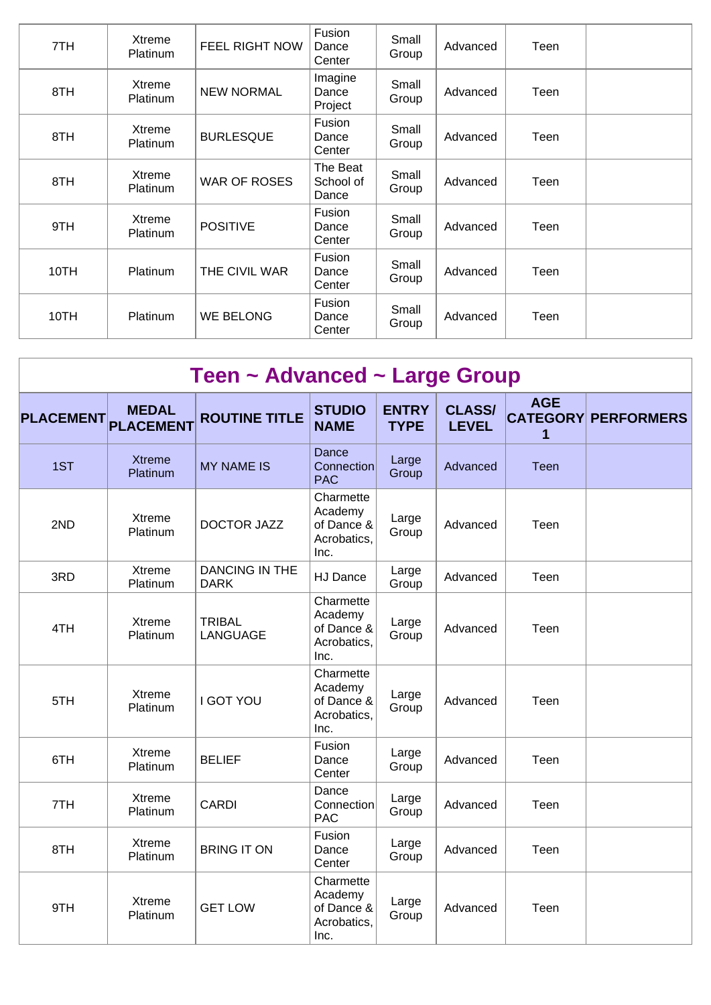| 7TH  | Xtreme<br><b>Platinum</b> | FEEL RIGHT NOW      | Fusion<br>Dance<br>Center      | Small<br>Group | Advanced | Teen |  |
|------|---------------------------|---------------------|--------------------------------|----------------|----------|------|--|
| 8TH  | Xtreme<br>Platinum        | <b>NEW NORMAL</b>   | Imagine<br>Dance<br>Project    | Small<br>Group | Advanced | Teen |  |
| 8TH  | Xtreme<br><b>Platinum</b> | <b>BURLESQUE</b>    | Fusion<br>Dance<br>Center      | Small<br>Group | Advanced | Teen |  |
| 8TH  | Xtreme<br>Platinum        | <b>WAR OF ROSES</b> | The Beat<br>School of<br>Dance | Small<br>Group | Advanced | Teen |  |
| 9TH  | Xtreme<br><b>Platinum</b> | <b>POSITIVE</b>     | Fusion<br>Dance<br>Center      | Small<br>Group | Advanced | Teen |  |
| 10TH | Platinum                  | THE CIVIL WAR       | Fusion<br>Dance<br>Center      | Small<br>Group | Advanced | Teen |  |
| 10TH | Platinum                  | <b>WE BELONG</b>    | Fusion<br>Dance<br>Center      | Small<br>Group | Advanced | Teen |  |

| Teen ~ Advanced ~ Large Group |                                  |                                      |                                                           |                             |                               |                 |                            |  |  |  |  |
|-------------------------------|----------------------------------|--------------------------------------|-----------------------------------------------------------|-----------------------------|-------------------------------|-----------------|----------------------------|--|--|--|--|
| <b>PLACEMENT</b>              | <b>MEDAL</b><br><b>PLACEMENT</b> | <b>ROUTINE TITLE</b>                 | <b>STUDIO</b><br><b>NAME</b>                              | <b>ENTRY</b><br><b>TYPE</b> | <b>CLASS/</b><br><b>LEVEL</b> | <b>AGE</b><br>1 | <b>CATEGORY PERFORMERS</b> |  |  |  |  |
| 1ST                           | <b>Xtreme</b><br>Platinum        | <b>MY NAME IS</b>                    | Dance<br>Connection<br><b>PAC</b>                         | Large<br>Group              | Advanced                      | Teen            |                            |  |  |  |  |
| 2ND                           | Xtreme<br>Platinum               | <b>DOCTOR JAZZ</b>                   | Charmette<br>Academy<br>of Dance &<br>Acrobatics,<br>Inc. | Large<br>Group              | Advanced                      | Teen            |                            |  |  |  |  |
| 3RD                           | <b>Xtreme</b><br>Platinum        | <b>DANCING IN THE</b><br><b>DARK</b> | HJ Dance                                                  | Large<br>Group              | Advanced                      | Teen            |                            |  |  |  |  |
| 4TH                           | Xtreme<br>Platinum               | <b>TRIBAL</b><br>LANGUAGE            | Charmette<br>Academy<br>of Dance &<br>Acrobatics,<br>Inc. | Large<br>Group              | Advanced                      | Teen            |                            |  |  |  |  |
| 5TH                           | <b>Xtreme</b><br>Platinum        | <b>I GOT YOU</b>                     | Charmette<br>Academy<br>of Dance &<br>Acrobatics,<br>Inc. | Large<br>Group              | Advanced                      | Teen            |                            |  |  |  |  |
| 6TH                           | Xtreme<br>Platinum               | <b>BELIEF</b>                        | Fusion<br>Dance<br>Center                                 | Large<br>Group              | Advanced                      | Teen            |                            |  |  |  |  |
| 7TH                           | Xtreme<br>Platinum               | <b>CARDI</b>                         | Dance<br>Connection<br><b>PAC</b>                         | Large<br>Group              | Advanced                      | Teen            |                            |  |  |  |  |
| 8TH                           | Xtreme<br>Platinum               | <b>BRING IT ON</b>                   | Fusion<br>Dance<br>Center                                 | Large<br>Group              | Advanced                      | Teen            |                            |  |  |  |  |
| 9TH                           | <b>Xtreme</b><br>Platinum        | <b>GET LOW</b>                       | Charmette<br>Academy<br>of Dance &<br>Acrobatics,<br>Inc. | Large<br>Group              | Advanced                      | Teen            |                            |  |  |  |  |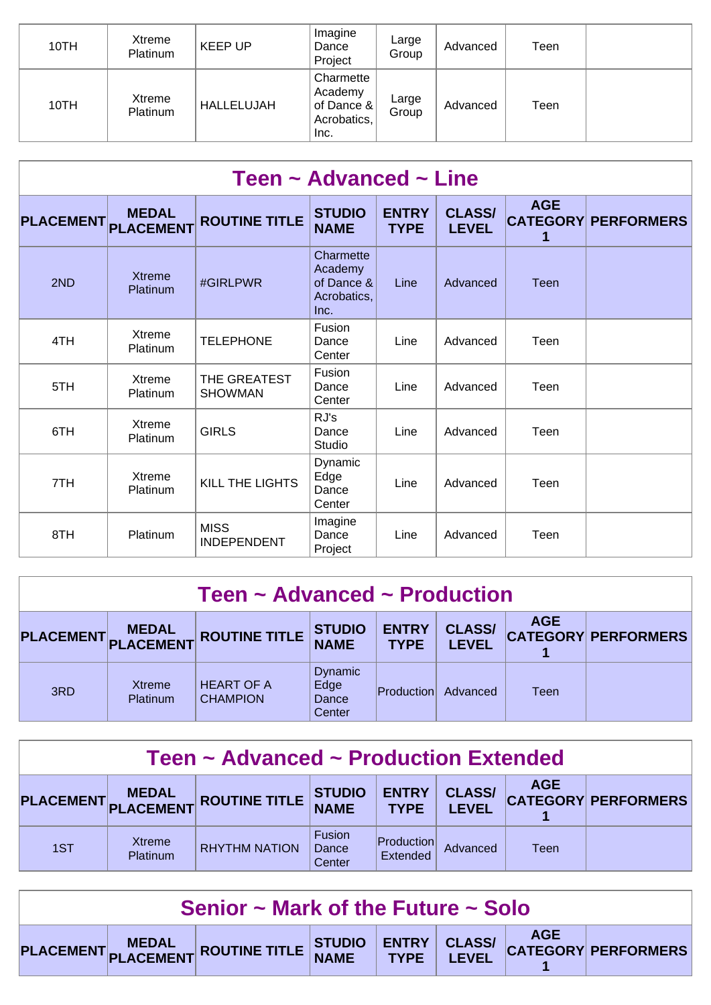| 10TH | Xtreme<br>Platinum | <b>KEEP UP</b> | Imagine<br>Dance<br>Project                               | Large<br>Group | Advanced | Teen |  |
|------|--------------------|----------------|-----------------------------------------------------------|----------------|----------|------|--|
| 10TH | Xtreme<br>Platinum | HALLELUJAH     | Charmette<br>Academy<br>of Dance &<br>Acrobatics,<br>Inc. | Large<br>Group | Advanced | Teen |  |

| Teen $\sim$ Advanced $\sim$ Line |                                  |                                   |                                                           |                             |                               |            |                            |  |  |  |
|----------------------------------|----------------------------------|-----------------------------------|-----------------------------------------------------------|-----------------------------|-------------------------------|------------|----------------------------|--|--|--|
| <b>PLACEMENT</b>                 | <b>MEDAL</b><br><b>PLACEMENT</b> | <b>ROUTINE TITLE</b>              | <b>STUDIO</b><br><b>NAME</b>                              | <b>ENTRY</b><br><b>TYPE</b> | <b>CLASS/</b><br><b>LEVEL</b> | <b>AGE</b> | <b>CATEGORY PERFORMERS</b> |  |  |  |
| 2ND                              | <b>Xtreme</b><br>Platinum        | #GIRLPWR                          | Charmette<br>Academy<br>of Dance &<br>Acrobatics,<br>Inc. | Line                        | Advanced                      | Teen       |                            |  |  |  |
| 4TH                              | Xtreme<br>Platinum               | <b>TELEPHONE</b>                  | Fusion<br>Dance<br>Center                                 | Line                        | Advanced                      | Teen       |                            |  |  |  |
| 5TH                              | Xtreme<br>Platinum               | THE GREATEST<br><b>SHOWMAN</b>    | Fusion<br>Dance<br>Center                                 | Line                        | Advanced                      | Teen       |                            |  |  |  |
| 6TH                              | Xtreme<br>Platinum               | <b>GIRLS</b>                      | RJ's<br>Dance<br>Studio                                   | Line                        | Advanced                      | Teen       |                            |  |  |  |
| 7TH                              | Xtreme<br>Platinum               | KILL THE LIGHTS                   | Dynamic<br>Edge<br>Dance<br>Center                        | Line                        | Advanced                      | Teen       |                            |  |  |  |
| 8TH                              | Platinum                         | <b>MISS</b><br><b>INDEPENDENT</b> | Imagine<br>Dance<br>Project                               | Line                        | Advanced                      | Teen       |                            |  |  |  |

#### **Teen ~ Advanced ~ Production**

|     | <b>MEDAL</b>       | PLACEMENT PLACEMENT ROUTINE TITLE    | <b>STUDIO</b><br><b>NAME</b>              | <b>ENTRY</b><br><b>TYPE</b> | <b>CLASS/</b><br><b>LEVEL</b> | <b>AGE</b> | <b>CATEGORY PERFORMERS</b> |
|-----|--------------------|--------------------------------------|-------------------------------------------|-----------------------------|-------------------------------|------------|----------------------------|
| 3RD | Xtreme<br>Platinum | <b>HEART OF A</b><br><b>CHAMPION</b> | <b>Dynamic</b><br>Edge<br>Dance<br>Center | <b>Production</b>           | Advanced                      | Teen       |                            |

| Teen ~ Advanced ~ Production Extended                                                                                                                               |                           |                      |                           |                               |          |      |  |  |  |
|---------------------------------------------------------------------------------------------------------------------------------------------------------------------|---------------------------|----------------------|---------------------------|-------------------------------|----------|------|--|--|--|
| <b>AGE</b><br><b>CLASS/</b><br><b>ENTRY</b><br><b>STUDIO<br/>NAME</b><br>PLACEMENT MEDAL ROUTINE TITLE<br><b>CATEGORY PERFORMERS</b><br><b>TYPE</b><br><b>LEVEL</b> |                           |                      |                           |                               |          |      |  |  |  |
| 1ST                                                                                                                                                                 | <b>Xtreme</b><br>Platinum | <b>RHYTHM NATION</b> | Fusion<br>Dance<br>Center | <b>Production</b><br>Extended | Advanced | Teen |  |  |  |

| Senior $\sim$ Mark of the Future $\sim$ Solo |  |                                                                       |  |  |  |  |  |  |
|----------------------------------------------|--|-----------------------------------------------------------------------|--|--|--|--|--|--|
|                                              |  | PLACEMENT MEDAL ROUTINE TITLE STUDIO ENTRY CLASS/ CATEGORY PERFORMERS |  |  |  |  |  |  |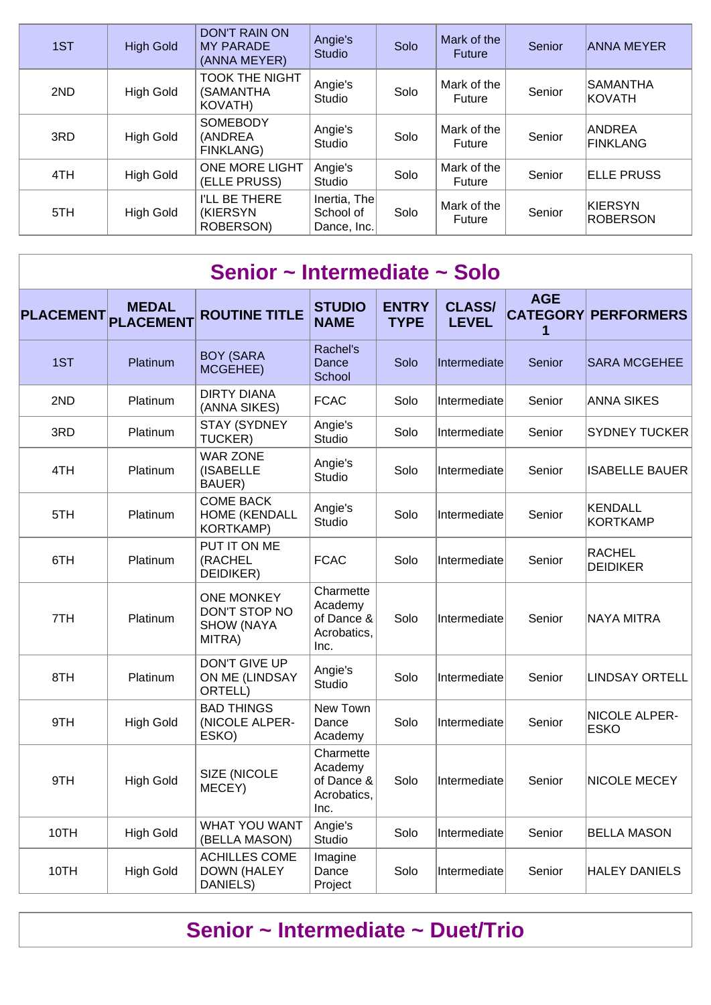| 1ST | <b>High Gold</b> | <b>DON'T RAIN ON</b><br><b>MY PARADE</b><br>(ANNA MEYER) | Angie's<br><b>Studio</b>                   | Solo | Mark of the<br><b>Future</b> | Senior | <b>ANNA MEYER</b>                |
|-----|------------------|----------------------------------------------------------|--------------------------------------------|------|------------------------------|--------|----------------------------------|
| 2ND | High Gold        | <b>TOOK THE NIGHT</b><br>(SAMANTHA<br>KOVATH)            | Angie's<br>Studio                          | Solo | Mark of the<br>Future        | Senior | <b>SAMANTHA</b><br><b>KOVATH</b> |
| 3RD | <b>High Gold</b> | <b>SOMEBODY</b><br>(ANDREA<br>FINKLANG)                  | Angie's<br>Studio                          | Solo | Mark of the<br>Future        | Senior | ANDREA<br>FINKLANG               |
| 4TH | <b>High Gold</b> | ONE MORE LIGHT<br>(ELLE PRUSS)                           | Angie's<br>Studio                          | Solo | Mark of the<br>Future        | Senior | <b>ELLE PRUSS</b>                |
| 5TH | <b>High Gold</b> | <b>I'LL BE THERE</b><br>(KIERSYN<br>ROBERSON)            | Inertia, $The$<br>School of<br>Dance, Inc. | Solo | Mark of the<br>Future        | Senior | KIERSYN<br><b>ROBERSON</b>       |

| Senior ~ Intermediate ~ Solo |                                  |                                                                   |                                                           |                             |                               |                                    |                                  |  |  |  |  |
|------------------------------|----------------------------------|-------------------------------------------------------------------|-----------------------------------------------------------|-----------------------------|-------------------------------|------------------------------------|----------------------------------|--|--|--|--|
| <b>PLACEMENT</b>             | <b>MEDAL</b><br><b>PLACEMENT</b> | <b>ROUTINE TITLE</b>                                              | <b>STUDIO</b><br><b>NAME</b>                              | <b>ENTRY</b><br><b>TYPE</b> | <b>CLASS/</b><br><b>LEVEL</b> | <b>AGE</b><br><b>CATEGORY</b><br>1 | <b>PERFORMERS</b>                |  |  |  |  |
| 1ST                          | Platinum                         | <b>BOY (SARA</b><br>MCGEHEE)                                      | Rachel's<br>Dance<br>School                               | Solo                        | Intermediate                  | Senior                             | <b>SARA MCGEHEE</b>              |  |  |  |  |
| 2ND                          | Platinum                         | <b>DIRTY DIANA</b><br>(ANNA SIKES)                                | <b>FCAC</b>                                               | Solo                        | Intermediate                  | Senior                             | <b>ANNA SIKES</b>                |  |  |  |  |
| 3RD                          | Platinum                         | <b>STAY (SYDNEY</b><br>TUCKER)                                    | Angie's<br>Studio                                         | Solo                        | Intermediate                  | Senior                             | <b>SYDNEY TUCKER</b>             |  |  |  |  |
| 4TH                          | Platinum                         | <b>WAR ZONE</b><br>(ISABELLE<br>BAUER)                            | Angie's<br>Studio                                         | Solo                        | Intermediate                  | Senior                             | <b>ISABELLE BAUER</b>            |  |  |  |  |
| 5TH                          | Platinum                         | <b>COME BACK</b><br><b>HOME (KENDALL</b><br><b>KORTKAMP)</b>      | Angie's<br>Studio                                         | Solo                        | Intermediate                  | Senior                             | KENDALL<br>KORTKAMP              |  |  |  |  |
| 6TH                          | Platinum                         | PUT IT ON ME<br>(RACHEL<br>DEIDIKER)                              | <b>FCAC</b>                                               | Solo                        | Intermediate                  | Senior                             | <b>RACHEL</b><br><b>DEIDIKER</b> |  |  |  |  |
| 7TH                          | Platinum                         | <b>ONE MONKEY</b><br>DON'T STOP NO<br><b>SHOW (NAYA</b><br>MITRA) | Charmette<br>Academy<br>of Dance &<br>Acrobatics,<br>Inc. | Solo                        | Intermediate                  | Senior                             | NAYA MITRA                       |  |  |  |  |
| 8TH                          | Platinum                         | <b>DON'T GIVE UP</b><br>ON ME (LINDSAY<br>ORTELL)                 | Angie's<br>Studio                                         | Solo                        | Intermediate                  | Senior                             | <b>LINDSAY ORTELL</b>            |  |  |  |  |
| 9TH                          | <b>High Gold</b>                 | <b>BAD THINGS</b><br>(NICOLE ALPER-<br>ESKO)                      | New Town<br>Dance<br>Academy                              | Solo                        | Intermediate                  | Senior                             | NICOLE ALPER-<br><b>ESKO</b>     |  |  |  |  |
| 9TH                          | <b>High Gold</b>                 | SIZE (NICOLE<br>MECEY)                                            | Charmette<br>Academy<br>of Dance &<br>Acrobatics,<br>Inc. | Solo                        | Intermediatel                 | Senior                             | <b>NICOLE MECEY</b>              |  |  |  |  |
| 10TH                         | <b>High Gold</b>                 | <b>WHAT YOU WANT</b><br>(BELLA MASON)                             | Angie's<br>Studio                                         | Solo                        | Intermediate                  | Senior                             | <b>BELLA MASON</b>               |  |  |  |  |
| 10TH                         | <b>High Gold</b>                 | <b>ACHILLES COME</b><br>DOWN (HALEY<br>DANIELS)                   | Imagine<br>Dance<br>Project                               | Solo                        | Intermediate                  | Senior                             | <b>HALEY DANIELS</b>             |  |  |  |  |

## **Senior ~ Intermediate ~ Duet/Trio**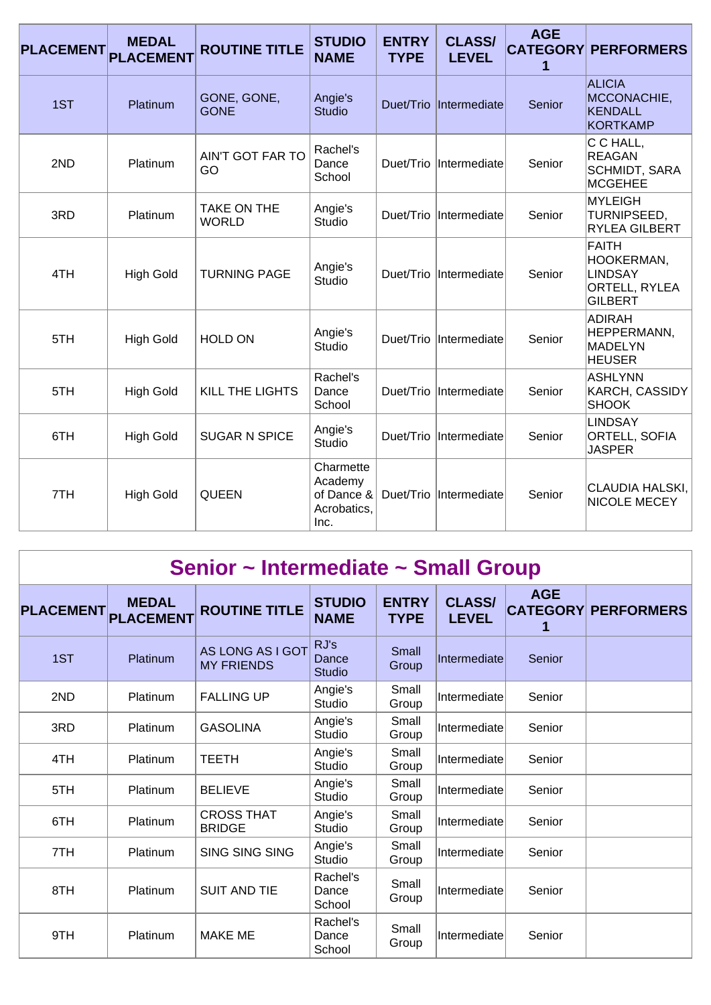| <b>PLACEMENT</b> | <b>MEDAL</b><br><b>PLACEMENT</b> | <b>ROUTINE TITLE</b>        | <b>STUDIO</b><br><b>NAME</b>                              | <b>ENTRY</b><br><b>TYPE</b> | <b>CLASS/</b><br><b>LEVEL</b> | <b>AGE</b><br><b>CATEGORY</b><br>1 | <b>PERFORMERS</b>                                                        |
|------------------|----------------------------------|-----------------------------|-----------------------------------------------------------|-----------------------------|-------------------------------|------------------------------------|--------------------------------------------------------------------------|
| 1ST              | Platinum                         | GONE, GONE,<br><b>GONE</b>  | Angie's<br><b>Studio</b>                                  | Duet/Trio                   | Intermediate                  | Senior                             | <b>ALICIA</b><br>MCCONACHIE,<br><b>KENDALL</b><br><b>KORTKAMP</b>        |
| 2ND              | Platinum                         | AIN'T GOT FAR TO<br>GO      | Rachel's<br>Dance<br>School                               | Duet/Trio                   | Intermediate                  | Senior                             | C C HALL,<br>REAGAN<br><b>SCHMIDT, SARA</b><br>MCGEHEE                   |
| 3RD              | Platinum                         | TAKE ON THE<br><b>WORLD</b> | Angie's<br>Studio                                         | Duet/Trio                   | Intermediate                  | Senior                             | MYLEIGH<br>TURNIPSEED,<br><b>RYLEA GILBERT</b>                           |
| 4TH              | <b>High Gold</b>                 | <b>TURNING PAGE</b>         | Angie's<br>Studio                                         | Duet/Trio                   | Intermediate                  | Senior                             | FAITH<br>HOOKERMAN,<br>LINDSAY<br><b>ORTELL, RYLEA</b><br><b>GILBERT</b> |
| 5TH              | <b>High Gold</b>                 | <b>HOLD ON</b>              | Angie's<br>Studio                                         | Duet/Trio                   | Intermediate                  | Senior                             | ADIRAH<br>HEPPERMANN,<br><b>MADELYN</b><br><b>HEUSER</b>                 |
| 5TH              | <b>High Gold</b>                 | <b>KILL THE LIGHTS</b>      | Rachel's<br>Dance<br>School                               | Duet/Trio                   | Intermediate                  | Senior                             | ASHLYNN<br>KARCH, CASSIDY<br><b>SHOOK</b>                                |
| 6TH              | <b>High Gold</b>                 | <b>SUGAR N SPICE</b>        | Angie's<br>Studio                                         | Duet/Trio                   | Intermediate                  | Senior                             | <b>LINDSAY</b><br><b>ORTELL, SOFIA</b><br><b>JASPER</b>                  |
| 7TH              | <b>High Gold</b>                 | <b>QUEEN</b>                | Charmette<br>Academy<br>of Dance &<br>Acrobatics,<br>Inc. | Duet/Trio                   | Intermediate                  | Senior                             | CLAUDIA HALSKI,<br><b>NICOLE MECEY</b>                                   |

| Senior ~ Intermediate ~ Small Group |                                  |                                       |                                |                             |                               |                 |                            |  |  |  |  |
|-------------------------------------|----------------------------------|---------------------------------------|--------------------------------|-----------------------------|-------------------------------|-----------------|----------------------------|--|--|--|--|
| <b>PLACEMENT</b>                    | <b>MEDAL</b><br><b>PLACEMENT</b> | <b>ROUTINE TITLE</b>                  | <b>STUDIO</b><br><b>NAME</b>   | <b>ENTRY</b><br><b>TYPE</b> | <b>CLASS/</b><br><b>LEVEL</b> | <b>AGE</b><br>1 | <b>CATEGORY PERFORMERS</b> |  |  |  |  |
| 1ST                                 | Platinum                         | AS LONG AS I GOT<br><b>MY FRIENDS</b> | RJ's<br>Dance<br><b>Studio</b> | Small<br>Group              | Intermediate                  | Senior          |                            |  |  |  |  |
| 2ND                                 | Platinum                         | <b>FALLING UP</b>                     | Angie's<br>Studio              | Small<br>Group              | Intermediate                  | Senior          |                            |  |  |  |  |
| 3RD                                 | Platinum                         | <b>GASOLINA</b>                       | Angie's<br>Studio              | Small<br>Group              | Intermediate                  | Senior          |                            |  |  |  |  |
| 4TH                                 | Platinum                         | <b>TEETH</b>                          | Angie's<br><b>Studio</b>       | Small<br>Group              | Intermediate                  | Senior          |                            |  |  |  |  |
| 5TH                                 | Platinum                         | <b>BELIEVE</b>                        | Angie's<br>Studio              | Small<br>Group              | Intermediate                  | Senior          |                            |  |  |  |  |
| 6TH                                 | Platinum                         | <b>CROSS THAT</b><br><b>BRIDGE</b>    | Angie's<br>Studio              | Small<br>Group              | Intermediate                  | Senior          |                            |  |  |  |  |
| 7TH                                 | Platinum                         | <b>SING SING SING</b>                 | Angie's<br>Studio              | Small<br>Group              | Intermediate                  | Senior          |                            |  |  |  |  |
| 8TH                                 | Platinum                         | <b>SUIT AND TIE</b>                   | Rachel's<br>Dance<br>School    | Small<br>Group              | Intermediate                  | Senior          |                            |  |  |  |  |
| 9TH                                 | Platinum                         | <b>MAKE ME</b>                        | Rachel's<br>Dance<br>School    | Small<br>Group              | Intermediate                  | Senior          |                            |  |  |  |  |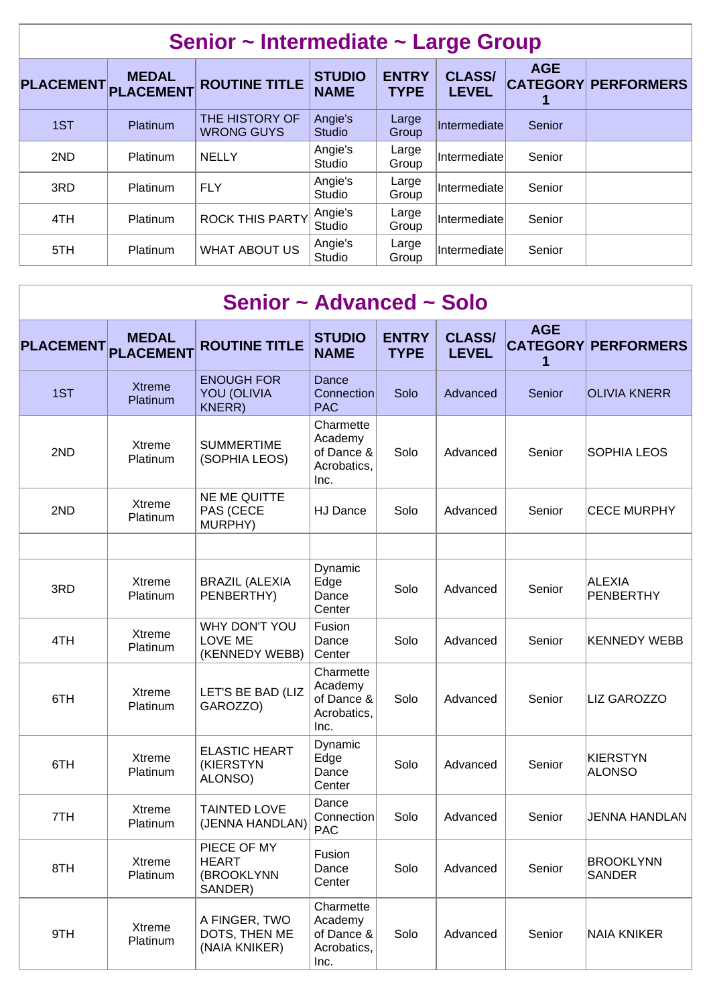| Senior ~ Intermediate ~ Large Group |                                  |                                     |                              |                             |                               |            |                            |  |  |  |  |
|-------------------------------------|----------------------------------|-------------------------------------|------------------------------|-----------------------------|-------------------------------|------------|----------------------------|--|--|--|--|
| <b>PLACEMENT</b>                    | <b>MEDAL</b><br><b>PLACEMENT</b> | <b>ROUTINE TITLE</b>                | <b>STUDIO</b><br><b>NAME</b> | <b>ENTRY</b><br><b>TYPE</b> | <b>CLASS/</b><br><b>LEVEL</b> | <b>AGE</b> | <b>CATEGORY PERFORMERS</b> |  |  |  |  |
| 1ST                                 | <b>Platinum</b>                  | THE HISTORY OF<br><b>WRONG GUYS</b> | Angie's<br><b>Studio</b>     | Large<br>Group              | Intermediate                  | Senior     |                            |  |  |  |  |
| 2ND                                 | <b>Platinum</b>                  | <b>NELLY</b>                        | Angie's<br>Studio            | Large<br>Group              | Intermediate                  | Senior     |                            |  |  |  |  |
| 3RD                                 | <b>Platinum</b>                  | <b>FLY</b>                          | Angie's<br>Studio            | Large<br>Group              | Intermediate                  | Senior     |                            |  |  |  |  |
| 4TH                                 | <b>Platinum</b>                  | <b>ROCK THIS PARTY</b>              | Angie's<br>Studio            | Large<br>Group              | Intermediate                  | Senior     |                            |  |  |  |  |
| 5TH                                 | Platinum                         | <b>WHAT ABOUT US</b>                | Angie's<br>Studio            | Large<br>Group              | Intermediate                  | Senior     |                            |  |  |  |  |

| Senior ~ Advanced ~ Solo |                                  |                                                      |                                                           |                             |                               |                 |                                   |  |  |  |  |
|--------------------------|----------------------------------|------------------------------------------------------|-----------------------------------------------------------|-----------------------------|-------------------------------|-----------------|-----------------------------------|--|--|--|--|
| <b>PLACEMENT</b>         | <b>MEDAL</b><br><b>PLACEMENT</b> | <b>ROUTINE TITLE</b>                                 | <b>STUDIO</b><br><b>NAME</b>                              | <b>ENTRY</b><br><b>TYPE</b> | <b>CLASS/</b><br><b>LEVEL</b> | <b>AGE</b><br>1 | <b>CATEGORY PERFORMERS</b>        |  |  |  |  |
| 1ST                      | <b>Xtreme</b><br>Platinum        | <b>ENOUGH FOR</b><br>YOU (OLIVIA<br><b>KNERR)</b>    | Dance<br>Connection<br><b>PAC</b>                         | Solo                        | Advanced                      | Senior          | <b>OLIVIA KNERR</b>               |  |  |  |  |
| 2ND                      | <b>Xtreme</b><br>Platinum        | <b>SUMMERTIME</b><br>(SOPHIA LEOS)                   | Charmette<br>Academy<br>of Dance &<br>Acrobatics,<br>Inc. | Solo                        | Advanced                      | Senior          | <b>SOPHIA LEOS</b>                |  |  |  |  |
| 2ND                      | <b>Xtreme</b><br>Platinum        | NE ME QUITTE<br>PAS (CECE<br>MURPHY)                 | HJ Dance                                                  | Solo                        | Advanced                      | Senior          | <b>CECE MURPHY</b>                |  |  |  |  |
|                          |                                  |                                                      |                                                           |                             |                               |                 |                                   |  |  |  |  |
| 3RD                      | <b>Xtreme</b><br>Platinum        | <b>BRAZIL (ALEXIA</b><br>PENBERTHY)                  | Dynamic<br>Edge<br>Dance<br>Center                        | Solo                        | Advanced                      | Senior          | ALEXIA<br>PENBERTHY               |  |  |  |  |
| 4TH                      | <b>Xtreme</b><br>Platinum        | WHY DON'T YOU<br>LOVE ME<br>(KENNEDY WEBB)           | Fusion<br>Dance<br>Center                                 | Solo                        | Advanced                      | Senior          | <b>KENNEDY WEBB</b>               |  |  |  |  |
| 6TH                      | <b>Xtreme</b><br>Platinum        | LET'S BE BAD (LIZ<br>GAROZZO)                        | Charmette<br>Academy<br>of Dance &<br>Acrobatics,<br>Inc. | Solo                        | Advanced                      | Senior          | LIZ GAROZZO                       |  |  |  |  |
| 6TH                      | <b>Xtreme</b><br>Platinum        | <b>ELASTIC HEART</b><br>(KIERSTYN<br>ALONSO)         | Dynamic<br>Edge<br>Dance<br>Center                        | Solo                        | Advanced                      | Senior          | KIERSTYN<br><b>ALONSO</b>         |  |  |  |  |
| 7TH                      | Xtreme<br>Platinum               | <b>TAINTED LOVE</b><br>(JENNA HANDLAN)               | Dance<br>Connection<br><b>PAC</b>                         | Solo                        | Advanced                      | Senior          | <b>JENNA HANDLAN</b>              |  |  |  |  |
| 8TH                      | <b>Xtreme</b><br>Platinum        | PIECE OF MY<br><b>HEART</b><br>(BROOKLYNN<br>SANDER) | Fusion<br>Dance<br>Center                                 | Solo                        | Advanced                      | Senior          | <b>BROOKLYNN</b><br><b>SANDER</b> |  |  |  |  |
| 9TH                      | <b>Xtreme</b><br>Platinum        | A FINGER, TWO<br>DOTS, THEN ME<br>(NAIA KNIKER)      | Charmette<br>Academy<br>of Dance &<br>Acrobatics,<br>Inc. | Solo                        | Advanced                      | Senior          | NAIA KNIKER                       |  |  |  |  |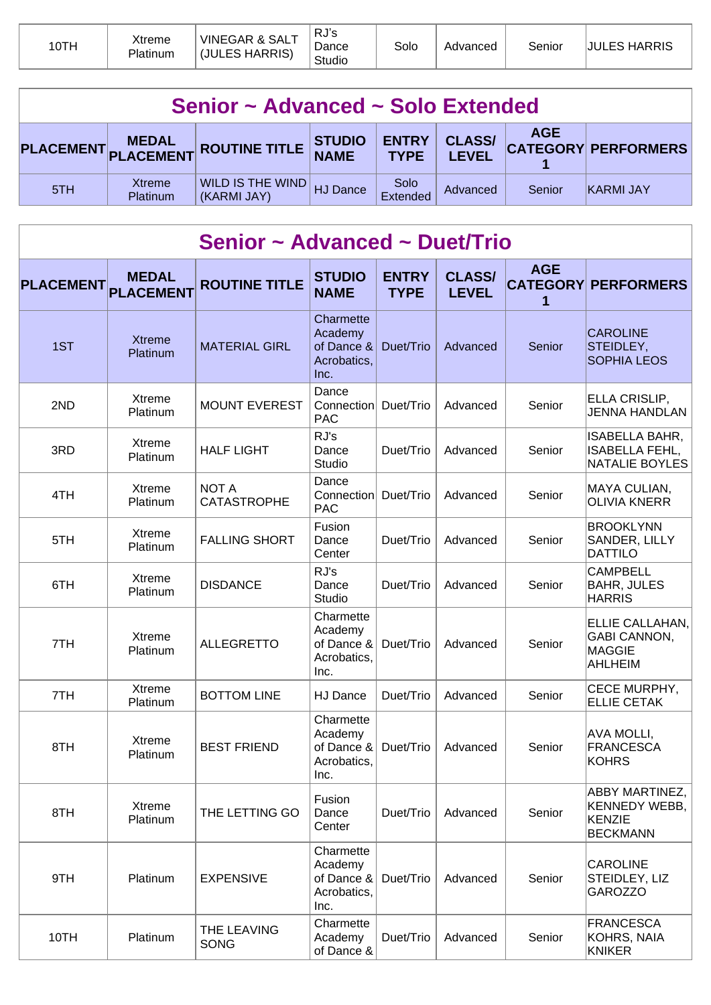| 10TH | Xtreme<br>Platinum | VINEGAR & SALT<br>(JULES HARRIS) | RJ's<br>Dance<br>Studio | Solo | Advanced | Senior | <b>JULES HARRIS</b> |
|------|--------------------|----------------------------------|-------------------------|------|----------|--------|---------------------|
|------|--------------------|----------------------------------|-------------------------|------|----------|--------|---------------------|

| Senior ~ Advanced ~ Solo Extended                                                                                                |                           |                                 |          |                  |          |        |                  |  |
|----------------------------------------------------------------------------------------------------------------------------------|---------------------------|---------------------------------|----------|------------------|----------|--------|------------------|--|
| <b>AGE</b><br>ENTRY CLASS/ CATEGORY PERFORMERS<br>STUDIO<br>NAME<br>PLACEMENT MEDAL ROUTINE TITLE<br><b>TYPE</b><br><b>LEVEL</b> |                           |                                 |          |                  |          |        |                  |  |
| 5TH                                                                                                                              | Xtreme<br><b>Platinum</b> | WILD IS THE WIND<br>(KARMI JAY) | HJ Dance | Solo<br>Extended | Advanced | Senior | <b>KARMI JAY</b> |  |

 $\sqrt{2}$ 

Ī.

|                  | Senior ~ Advanced ~ Duet/Trio    |                                    |                                                              |                             |                               |                 |                                                                           |  |  |  |  |
|------------------|----------------------------------|------------------------------------|--------------------------------------------------------------|-----------------------------|-------------------------------|-----------------|---------------------------------------------------------------------------|--|--|--|--|
| <b>PLACEMENT</b> | <b>MEDAL</b><br><b>PLACEMENT</b> | <b>ROUTINE TITLE</b>               | <b>STUDIO</b><br><b>NAME</b>                                 | <b>ENTRY</b><br><b>TYPE</b> | <b>CLASS/</b><br><b>LEVEL</b> | <b>AGE</b><br>1 | <b>CATEGORY PERFORMERS</b>                                                |  |  |  |  |
| 1ST              | <b>Xtreme</b><br>Platinum        | <b>MATERIAL GIRL</b>               | Charmette<br>Academy<br>of Dance $\&$<br>Acrobatics,<br>Inc. | Duet/Trio                   | Advanced                      | Senior          | <b>CAROLINE</b><br>STEIDLEY,<br><b>SOPHIA LEOS</b>                        |  |  |  |  |
| 2ND              | Xtreme<br>Platinum               | <b>MOUNT EVEREST</b>               | Dance<br>Connection<br><b>PAC</b>                            | Duet/Trio                   | Advanced                      | Senior          | ELLA CRISLIP,<br><b>JENNA HANDLAN</b>                                     |  |  |  |  |
| 3RD              | Xtreme<br>Platinum               | <b>HALF LIGHT</b>                  | RJ's<br>Dance<br>Studio                                      | Duet/Trio                   | Advanced                      | Senior          | ISABELLA BAHR,<br><b>ISABELLA FEHL,</b><br>NATALIE BOYLES                 |  |  |  |  |
| 4TH              | Xtreme<br>Platinum               | <b>NOT A</b><br><b>CATASTROPHE</b> | Dance<br>Connection<br><b>PAC</b>                            | Duet/Trio                   | Advanced                      | Senior          | MAYA CULIAN,<br><b>OLIVIA KNERR</b>                                       |  |  |  |  |
| 5TH              | Xtreme<br>Platinum               | <b>FALLING SHORT</b>               | Fusion<br>Dance<br>Center                                    | Duet/Trio                   | Advanced                      | Senior          | <b>BROOKLYNN</b><br>SANDER, LILLY<br><b>DATTILO</b>                       |  |  |  |  |
| 6TH              | Xtreme<br>Platinum               | <b>DISDANCE</b>                    | RJ's<br>Dance<br>Studio                                      | Duet/Trio                   | Advanced                      | Senior          | <b>CAMPBELL</b><br><b>BAHR, JULES</b><br><b>HARRIS</b>                    |  |  |  |  |
| 7TH              | Xtreme<br>Platinum               | <b>ALLEGRETTO</b>                  | Charmette<br>Academy<br>of Dance &<br>Acrobatics,<br>Inc.    | Duet/Trio                   | Advanced                      | Senior          | ELLIE CALLAHAN,<br><b>GABI CANNON,</b><br><b>MAGGIE</b><br><b>AHLHEIM</b> |  |  |  |  |
| 7TH              | Xtreme<br>Platinum               | <b>BOTTOM LINE</b>                 | HJ Dance                                                     | Duet/Trio                   | Advanced                      | Senior          | CECE MURPHY,<br><b>ELLIE CETAK</b>                                        |  |  |  |  |
| 8TH              | Xtreme<br>Platinum               | <b>BEST FRIEND</b>                 | Charmette<br>Academy<br>of Dance &<br>Acrobatics,<br>Inc.    | Duet/Trio                   | Advanced                      | Senior          | AVA MOLLI,<br><b>FRANCESCA</b><br>KOHRS                                   |  |  |  |  |
| 8TH              | Xtreme<br>Platinum               | THE LETTING GO                     | Fusion<br>Dance<br>Center                                    | Duet/Trio                   | Advanced                      | Senior          | ABBY MARTINEZ,<br>KENNEDY WEBB,<br>KENZIE<br><b>BECKMANN</b>              |  |  |  |  |
| 9TH              | Platinum                         | <b>EXPENSIVE</b>                   | Charmette<br>Academy<br>of Dance $\&$<br>Acrobatics,<br>Inc. | Duet/Trio                   | Advanced                      | Senior          | <b>CAROLINE</b><br>STEIDLEY, LIZ<br><b>GAROZZO</b>                        |  |  |  |  |
| 10TH             | Platinum                         | THE LEAVING<br><b>SONG</b>         | Charmette<br>Academy<br>of Dance &                           | Duet/Trio                   | Advanced                      | Senior          | <b>FRANCESCA</b><br>KOHRS, NAIA<br>KNIKER                                 |  |  |  |  |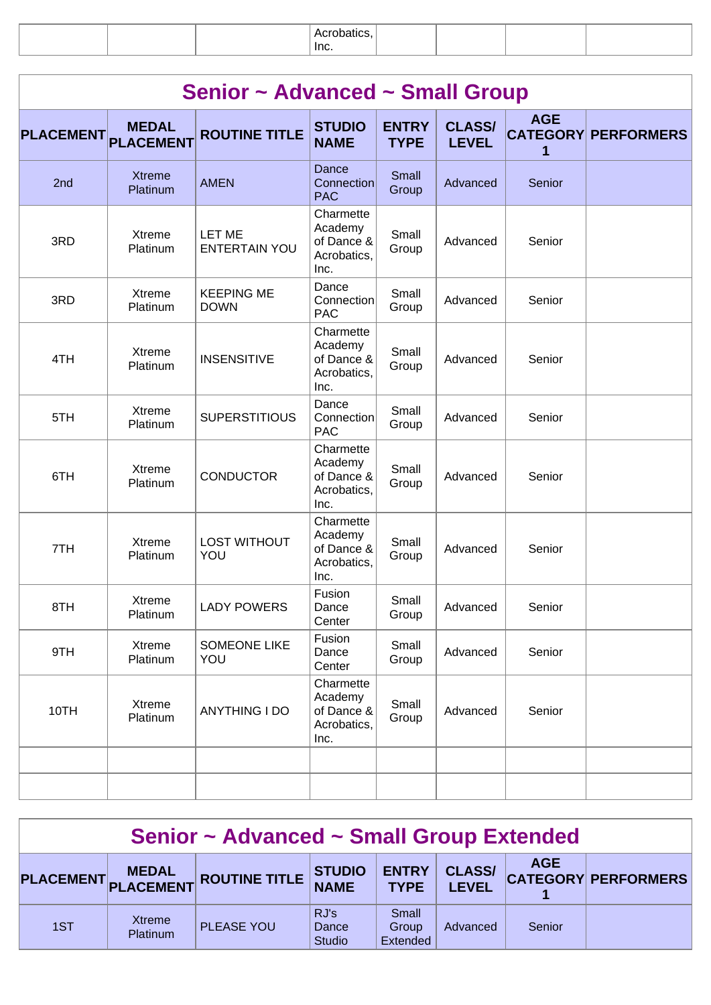|  | Inc. |  |  |
|--|------|--|--|

| Senior ~ Advanced ~ Small Group |                                  |                                       |                                                           |                             |                               |                 |                            |  |  |
|---------------------------------|----------------------------------|---------------------------------------|-----------------------------------------------------------|-----------------------------|-------------------------------|-----------------|----------------------------|--|--|
| <b>PLACEMENT</b>                | <b>MEDAL</b><br><b>PLACEMENT</b> | <b>ROUTINE TITLE</b>                  | <b>STUDIO</b><br><b>NAME</b>                              | <b>ENTRY</b><br><b>TYPE</b> | <b>CLASS/</b><br><b>LEVEL</b> | <b>AGE</b><br>1 | <b>CATEGORY PERFORMERS</b> |  |  |
| 2nd                             | <b>Xtreme</b><br>Platinum        | <b>AMEN</b>                           | Dance<br>Connection<br><b>PAC</b>                         | Small<br>Group              | Advanced                      | Senior          |                            |  |  |
| 3RD                             | Xtreme<br>Platinum               | <b>LET ME</b><br><b>ENTERTAIN YOU</b> | Charmette<br>Academy<br>of Dance &<br>Acrobatics,<br>Inc. | Small<br>Group              | Advanced                      | Senior          |                            |  |  |
| 3RD                             | Xtreme<br>Platinum               | <b>KEEPING ME</b><br><b>DOWN</b>      | Dance<br>Connection<br><b>PAC</b>                         | Small<br>Group              | Advanced                      | Senior          |                            |  |  |
| 4TH                             | Xtreme<br>Platinum               | <b>INSENSITIVE</b>                    | Charmette<br>Academy<br>of Dance &<br>Acrobatics,<br>Inc. | Small<br>Group              | Advanced                      | Senior          |                            |  |  |
| 5TH                             | Xtreme<br>Platinum               | <b>SUPERSTITIOUS</b>                  | Dance<br>Connection<br><b>PAC</b>                         | Small<br>Group              | Advanced                      | Senior          |                            |  |  |
| 6TH                             | Xtreme<br>Platinum               | <b>CONDUCTOR</b>                      | Charmette<br>Academy<br>of Dance &<br>Acrobatics,<br>Inc. | Small<br>Group              | Advanced                      | Senior          |                            |  |  |
| 7TH                             | Xtreme<br>Platinum               | <b>LOST WITHOUT</b><br>YOU            | Charmette<br>Academy<br>of Dance &<br>Acrobatics,<br>Inc. | Small<br>Group              | Advanced                      | Senior          |                            |  |  |
| 8TH                             | Xtreme<br>Platinum               | <b>LADY POWERS</b>                    | Fusion<br>Dance<br>Center                                 | Small<br>Group              | Advanced                      | Senior          |                            |  |  |
| 9TH                             | Xtreme<br>Platinum               | SOMEONE LIKE<br>YOU                   | Fusion<br>Dance<br>Center                                 | Small<br>Group              | Advanced                      | Senior          |                            |  |  |
| 10TH                            | Xtreme<br>Platinum               | <b>ANYTHING I DO</b>                  | Charmette<br>Academy<br>of Dance &<br>Acrobatics,<br>Inc. | Small<br>Group              | Advanced                      | Senior          |                            |  |  |
|                                 |                                  |                                       |                                                           |                             |                               |                 |                            |  |  |
|                                 |                                  |                                       |                                                           |                             |                               |                 |                            |  |  |

| Senior ~ Advanced ~ Small Group Extended |                           |                               |                                |                             |                               |            |                            |
|------------------------------------------|---------------------------|-------------------------------|--------------------------------|-----------------------------|-------------------------------|------------|----------------------------|
|                                          |                           | PLACEMENT MEDAL ROUTINE TITLE | STUDIO<br>NAME                 | <b>ENTRY</b><br><b>TYPE</b> | <b>CLASS/</b><br><b>LEVEL</b> | <b>AGE</b> | <b>CATEGORY PERFORMERS</b> |
| 1ST                                      | <b>Xtreme</b><br>Platinum | PLEASE YOU                    | RJ's<br>Dance<br><b>Studio</b> | Small<br>Group<br>Extended  | Advanced                      | Senior     |                            |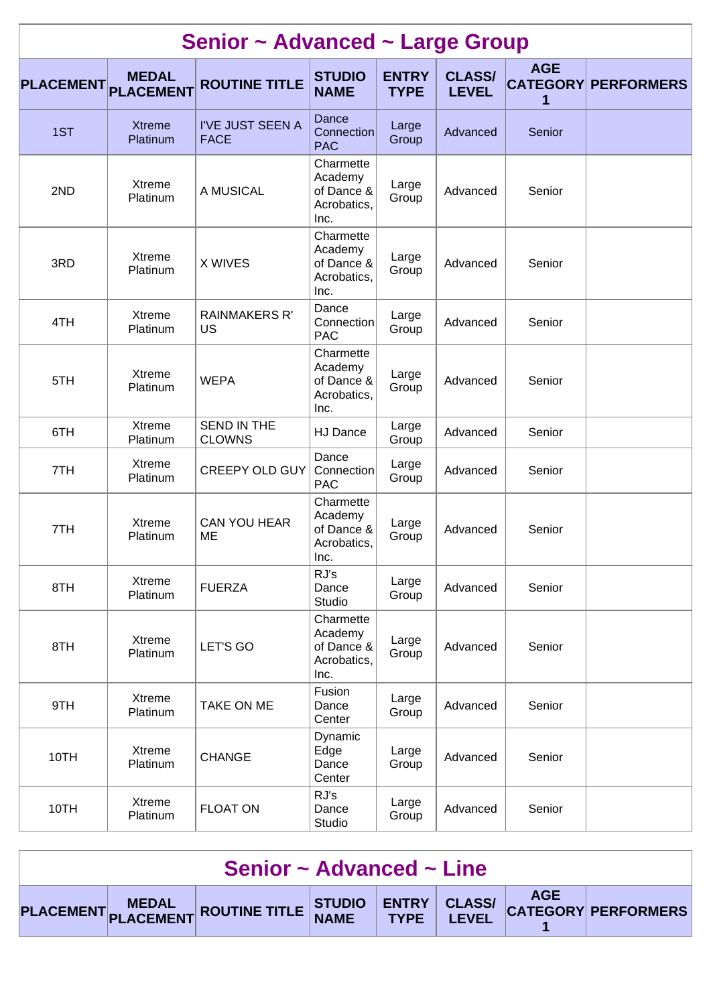| Senior ~ Advanced ~ Large Group |                                  |                                        |                                                           |                             |                               |                 |                            |  |  |
|---------------------------------|----------------------------------|----------------------------------------|-----------------------------------------------------------|-----------------------------|-------------------------------|-----------------|----------------------------|--|--|
| <b>PLACEMENT</b>                | <b>MEDAL</b><br><b>PLACEMENT</b> | <b>ROUTINE TITLE</b>                   | <b>STUDIO</b><br><b>NAME</b>                              | <b>ENTRY</b><br><b>TYPE</b> | <b>CLASS/</b><br><b>LEVEL</b> | <b>AGE</b><br>1 | <b>CATEGORY PERFORMERS</b> |  |  |
| 1ST                             | <b>Xtreme</b><br>Platinum        | <b>I'VE JUST SEEN A</b><br><b>FACE</b> | Dance<br>Connection<br><b>PAC</b>                         | Large<br>Group              | Advanced                      | Senior          |                            |  |  |
| 2ND                             | Xtreme<br>Platinum               | A MUSICAL                              | Charmette<br>Academy<br>of Dance &<br>Acrobatics,<br>Inc. | Large<br>Group              | Advanced                      | Senior          |                            |  |  |
| 3RD                             | Xtreme<br>Platinum               | X WIVES                                | Charmette<br>Academy<br>of Dance &<br>Acrobatics,<br>Inc. | Large<br>Group              | Advanced                      | Senior          |                            |  |  |
| 4TH                             | Xtreme<br>Platinum               | <b>RAINMAKERS R'</b><br>US             | Dance<br>Connection<br><b>PAC</b>                         | Large<br>Group              | Advanced                      | Senior          |                            |  |  |
| 5TH                             | Xtreme<br>Platinum               | <b>WEPA</b>                            | Charmette<br>Academy<br>of Dance &<br>Acrobatics,<br>Inc. | Large<br>Group              | Advanced                      | Senior          |                            |  |  |
| 6TH                             | Xtreme<br>Platinum               | <b>SEND IN THE</b><br><b>CLOWNS</b>    | HJ Dance                                                  | Large<br>Group              | Advanced                      | Senior          |                            |  |  |
| 7TH                             | Xtreme<br>Platinum               | <b>CREEPY OLD GUY</b>                  | Dance<br>Connection<br><b>PAC</b>                         | Large<br>Group              | Advanced                      | Senior          |                            |  |  |
| 7TH                             | Xtreme<br>Platinum               | <b>CAN YOU HEAR</b><br>ME              | Charmette<br>Academy<br>of Dance &<br>Acrobatics,<br>Inc. | Large<br>Group              | Advanced                      | Senior          |                            |  |  |
| 8TH                             | Xtreme<br>Platinum               | <b>FUERZA</b>                          | RJ's<br>Dance<br>Studio                                   | Large<br>Group              | Advanced                      | Senior          |                            |  |  |
| 8TH                             | Xtreme<br>Platinum               | LET'S GO                               | Charmette<br>Academy<br>of Dance &<br>Acrobatics,<br>Inc. | Large<br>Group              | Advanced                      | Senior          |                            |  |  |
| 9TH                             | Xtreme<br>Platinum               | TAKE ON ME                             | Fusion<br>Dance<br>Center                                 | Large<br>Group              | Advanced                      | Senior          |                            |  |  |
| 10TH                            | Xtreme<br>Platinum               | CHANGE                                 | Dynamic<br>Edge<br>Dance<br>Center                        | Large<br>Group              | Advanced                      | Senior          |                            |  |  |
| 10TH                            | Xtreme<br>Platinum               | <b>FLOAT ON</b>                        | RJ's<br>Dance<br>Studio                                   | Large<br>Group              | Advanced                      | Senior          |                            |  |  |

| Senior $\sim$ Advanced $\sim$ Line |  |                                                                       |  |  |  |  |  |  |
|------------------------------------|--|-----------------------------------------------------------------------|--|--|--|--|--|--|
|                                    |  | PLACEMENT MEDAL ROUTINE TITLE STUDIO ENTRY CLASS/ CATEGORY PERFORMERS |  |  |  |  |  |  |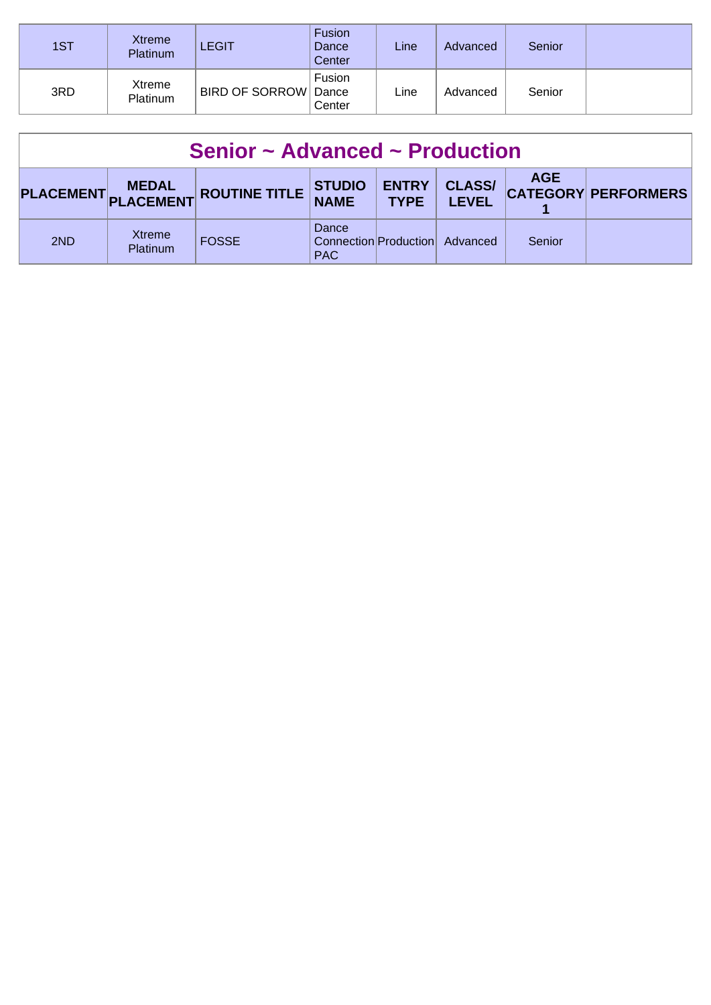| 1ST | <b>Xtreme</b><br><b>Platinum</b> | <b>LEGIT</b>           | <b>Fusion</b><br>Dance<br>Center | Line | Advanced | Senior |  |
|-----|----------------------------------|------------------------|----------------------------------|------|----------|--------|--|
| 3RD | Xtreme<br>Platinum               | BIRD OF SORROW   Dance | Fusion<br>Center                 | ∟ine | Advanced | Senior |  |

| Senior $\sim$ Advanced $\sim$ Production |                                                                                                                                                             |              |                                              |  |          |        |  |  |
|------------------------------------------|-------------------------------------------------------------------------------------------------------------------------------------------------------------|--------------|----------------------------------------------|--|----------|--------|--|--|
|                                          | <b>AGE</b><br><b>CLASS/</b><br><b>ENTRY</b><br>STUDIO<br>NAME<br>PLACEMENT MEDAL ROUTINE TITLE<br><b>CATEGORY PERFORMERS</b><br><b>TYPE</b><br><b>LEVEL</b> |              |                                              |  |          |        |  |  |
| 2ND                                      | Xtreme<br>Platinum                                                                                                                                          | <b>FOSSE</b> | Dance<br>Connection Production<br><b>PAC</b> |  | Advanced | Senior |  |  |